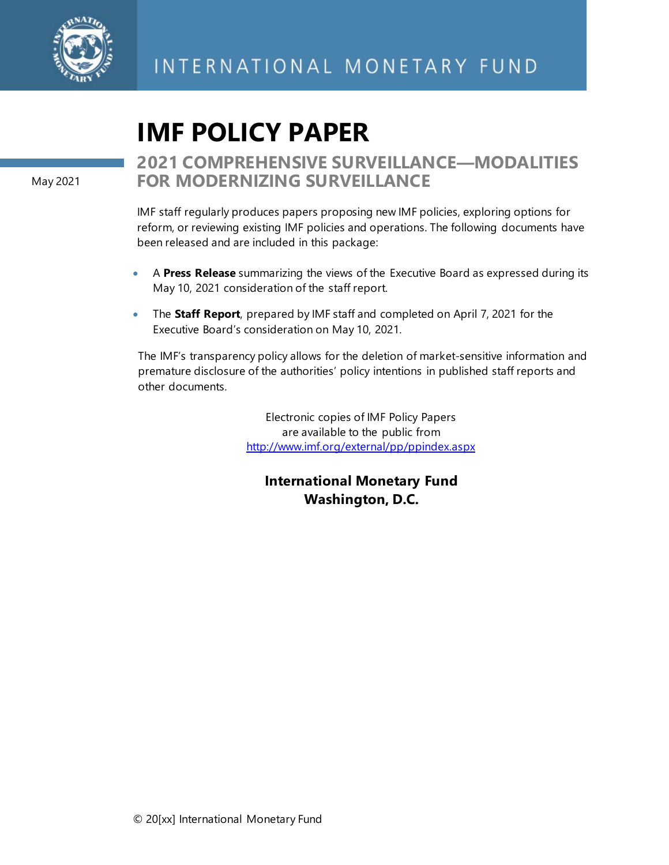

# **IMF POLICY PAPER**

May 2021

## **2021 COMPREHENSIVE SURVEILLANCE—MODALITIES FOR MODERNIZING SURVEILLANCE**

IMF staff regularly produces papers proposing new IMF policies, exploring options for reform, or reviewing existing IMF policies and operations. The following documents have been released and are included in this package:

- A **Press Release** summarizing the views of the Executive Board as expressed during its May 10, 2021 consideration of the staff report.
- The **Staff Report**, prepared by IMF staff and completed on April 7, 2021 for the Executive Board's consideration on May 10, 2021.

The IMF's transparency policy allows for the deletion of market-sensitive information and premature disclosure of the authorities' policy intentions in published staff reports and other documents.

> Electronic copies of IMF Policy Papers are available to the public from <http://www.imf.org/external/pp/ppindex.aspx>

## **International Monetary Fund Washington, D.C.**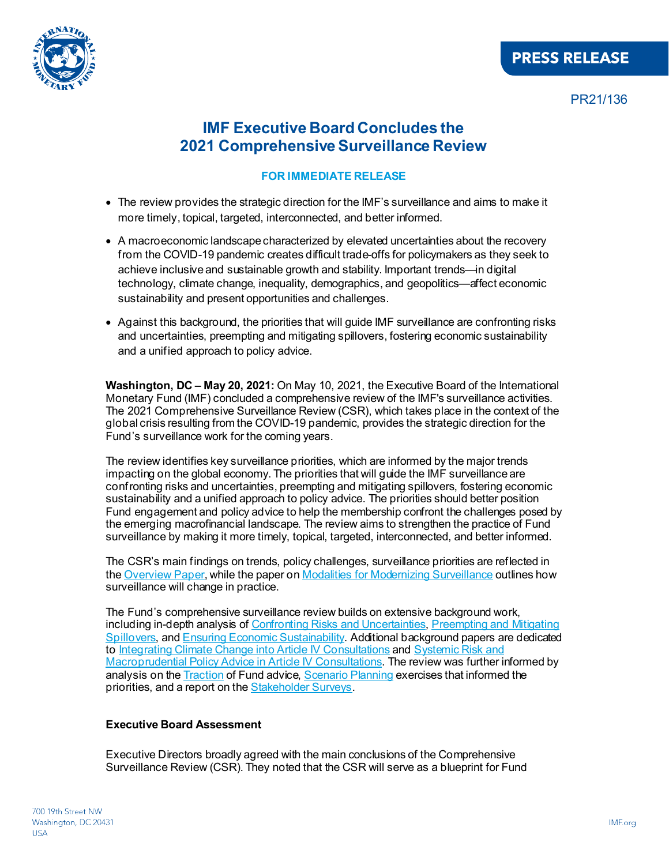



PR21/136

## **IMF Executive Board Concludes the 2021 Comprehensive Surveillance Review**

#### **FOR IMMEDIATE RELEASE**

- The review provides the strategic direction for the IMF's surveillance and aims to make it more timely, topical, targeted, interconnected, and better informed.
- A macroeconomic landscape characterized by elevated uncertainties about the recovery from the COVID-19 pandemic creates difficult trade-offs for policymakers as they seek to achieve inclusive and sustainable growth and stability. Important trends—in digital technology, climate change, inequality, demographics, and geopolitics—affect economic sustainability and present opportunities and challenges.
- Against this background, the priorities that will guide IMF surveillance are confronting risks and uncertainties, preempting and mitigating spillovers, fostering economic sustainability and a unified approach to policy advice.

**Washington, DC – May 20, 2021:** On May 10, 2021, the Executive Board of the International Monetary Fund (IMF) concluded a comprehensive review of the IMF's surveillance activities. The 2021 Comprehensive Surveillance Review (CSR), which takes place in the context of the global crisis resulting from the COVID-19 pandemic, provides the strategic direction for the Fund's surveillance work for the coming years.

The review identifies key surveillance priorities, which are informed by the major trends impacting on the global economy. The priorities that will guide the IMF surveillance are confronting risks and uncertainties, preempting and mitigating spillovers, fostering economic sustainability and a unified approach to policy advice. The priorities should better position Fund engagement and policy advice to help the membership confront the challenges posed by the emerging macrofinancial landscape. The review aims to strengthen the practice of Fund surveillance by making it more timely, topical, targeted, interconnected, and better informed.

The CSR's main findings on trends, policy challenges, surveillance priorities are reflected in the [Overview Paper](https://www.imf.org/en/Publications/Policy-Papers/Issues/2021/05/18/2021-Comprehensive-Surveillance-Review-Overview-Paper-460270), while the paper o[n Modalities for Modernizing Surveillance](https://www.imf.org/en/Publications/Policy-Papers/Issues/2021/05/18/2021-Comprehensive-Surveillance-Review-Modalities-for-Modernizing-Surveillance-460273) outlines how surveillance will change in practice.

The Fund's comprehensive surveillance review builds on extensive background work, including in-depth analysis o[f Confronting Risks and Uncertainties](https://www.imf.org/en/Publications/Policy-Papers/Issues/2021/05/18/2021-Comprehensive-Surveillance-Review-Background-Paper-on-The-Surveillance-Priority-460276), Preempting and Mitigating [Spillovers,](https://www.imf.org/en/Publications/Policy-Papers/Issues/2021/05/18/2021-Comprehensive-Surveillance-Review-Background-Paper-on-The-Surveillance-Priority-460297) an[d Ensuring Economic Sustainability.](https://www.imf.org/en/Publications/Policy-Papers/Issues/2021/05/18/2021-Comprehensive-Surveillance-Review-Background-Paper-on-The-Surveillance-Priority-460300) Additional background papers are dedicated to [Integrating Climate Change into Article IV Consultations](https://www.imf.org/en/Publications/Policy-Papers/Issues/2021/05/18/2021-Comprehensive-Surveillance-Review-Background-Paper-on-Integrating-Climate-Change-into-460303) an[d Systemic Risk and](https://www.imf.org/en/Publications/Policy-Papers/Issues/2021/05/18/2021-Comprehensive-Surveillance-Review-Background-Paper-on-Systemic-Risk-and-460306)  [Macroprudential Policy Advice in Article IV Consultations.](https://www.imf.org/en/Publications/Policy-Papers/Issues/2021/05/18/2021-Comprehensive-Surveillance-Review-Background-Paper-on-Systemic-Risk-and-460306) The review was further informed by analysis on the **Traction** of Fund advice, **Scenario Planning exercises that informed the** priorities, and a report on th[e Stakeholder Surveys](https://www.imf.org/en/Publications/Policy-Papers/Issues/2021/05/18/2021-Comprehensive-Surveillance-Review-Background-Paper-on-Main-Findings-from-The-460343).

#### **Executive Board Assessment**

Executive Directors broadly agreed with the main conclusions of the Comprehensive Surveillance Review (CSR). They noted that the CSR will serve as a blueprint for Fund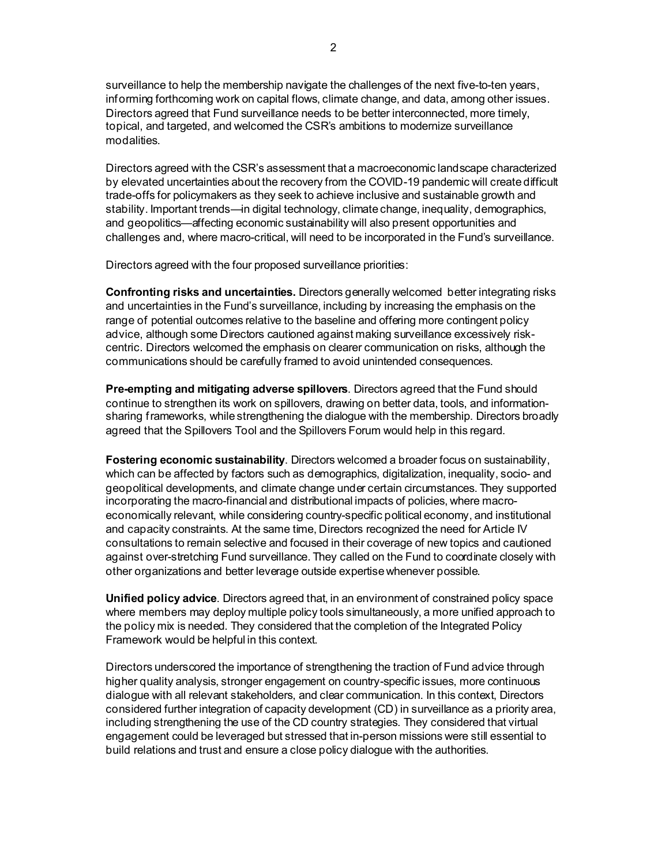surveillance to help the membership navigate the challenges of the next five-to-ten years, informing forthcoming work on capital flows, climate change, and data, among other issues. Directors agreed that Fund surveillance needs to be better interconnected, more timely, topical, and targeted, and welcomed the CSR's ambitions to modernize surveillance modalities.

Directors agreed with the CSR's assessment that a macroeconomic landscape characterized by elevated uncertainties about the recovery from the COVID-19 pandemic will create difficult trade-offs for policymakers as they seek to achieve inclusive and sustainable growth and stability. Important trends—in digital technology, climate change, inequality, demographics, and geopolitics—affecting economic sustainability will also present opportunities and challenges and, where macro-critical, will need to be incorporated in the Fund's surveillance.

Directors agreed with the four proposed surveillance priorities:

**Confronting risks and uncertainties.** Directors generally welcomed better integrating risks and uncertainties in the Fund's surveillance, including by increasing the emphasis on the range of potential outcomes relative to the baseline and offering more contingent policy advice, although some Directors cautioned against making surveillance excessively riskcentric. Directors welcomed the emphasis on clearer communication on risks, although the communications should be carefully framed to avoid unintended consequences.

**Pre-empting and mitigating adverse spillovers**. Directors agreed that the Fund should continue to strengthen its work on spillovers, drawing on better data, tools, and informationsharing frameworks, while strengthening the dialogue with the membership. Directors broadly agreed that the Spillovers Tool and the Spillovers Forum would help in this regard.

**Fostering economic sustainability**. Directors welcomed a broader focus on sustainability, which can be affected by factors such as demographics, digitalization, inequality, socio- and geopolitical developments, and climate change under certain circumstances. They supported incorporating the macro-financial and distributional impacts of policies, where macroeconomically relevant, while considering country-specific political economy, and institutional and capacity constraints. At the same time, Directors recognized the need for Article IV consultations to remain selective and focused in their coverage of new topics and cautioned against over-stretching Fund surveillance. They called on the Fund to coordinate closely with other organizations and better leverage outside expertise whenever possible.

**Unified policy advice**. Directors agreed that, in an environment of constrained policy space where members may deploy multiple policy tools simultaneously, a more unified approach to the policy mix is needed. They considered that the completion of the Integrated Policy Framework would be helpful in this context.

Directors underscored the importance of strengthening the traction of Fund advice through higher quality analysis, stronger engagement on country-specific issues, more continuous dialogue with all relevant stakeholders, and clear communication. In this context, Directors considered further integration of capacity development (CD) in surveillance as a priority area, including strengthening the use of the CD country strategies. They considered that virtual engagement could be leveraged but stressed that in-person missions were still essential to build relations and trust and ensure a close policy dialogue with the authorities.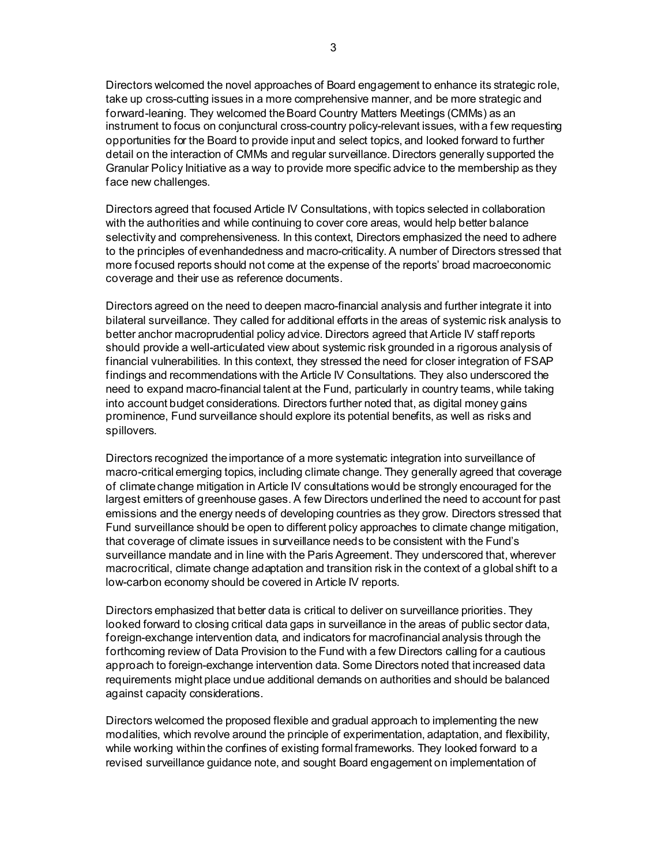Directors welcomed the novel approaches of Board engagement to enhance its strategic role, take up cross-cutting issues in a more comprehensive manner, and be more strategic and forward-leaning. They welcomed the Board Country Matters Meetings (CMMs) as an instrument to focus on conjunctural cross-country policy-relevant issues, with a few requesting opportunities for the Board to provide input and select topics, and looked forward to further detail on the interaction of CMMs and regular surveillance. Directors generally supported the Granular Policy Initiative as a way to provide more specific advice to the membership as they face new challenges.

Directors agreed that focused Article IV Consultations, with topics selected in collaboration with the authorities and while continuing to cover core areas, would help better balance selectivity and comprehensiveness. In this context, Directors emphasized the need to adhere to the principles of evenhandedness and macro-criticality. A number of Directors stressed that more focused reports should not come at the expense of the reports' broad macroeconomic coverage and their use as reference documents.

Directors agreed on the need to deepen macro-financial analysis and further integrate it into bilateral surveillance. They called for additional efforts in the areas of systemic risk analysis to better anchor macroprudential policy advice. Directors agreed that Article IV staff reports should provide a well-articulated view about systemic risk grounded in a rigorous analysis of financial vulnerabilities. In this context, they stressed the need for closer integration of FSAP findings and recommendations with the Article IV Consultations. They also underscored the need to expand macro-financial talent at the Fund, particularly in country teams, while taking into account budget considerations. Directors further noted that, as digital money gains prominence, Fund surveillance should explore its potential benefits, as well as risks and spillovers.

Directors recognized the importance of a more systematic integration into surveillance of macro-critical emerging topics, including climate change. They generally agreed that coverage of climate change mitigation in Article IV consultations would be strongly encouraged for the largest emitters of greenhouse gases. A few Directors underlined the need to account for past emissions and the energy needs of developing countries as they grow. Directors stressed that Fund surveillance should be open to different policy approaches to climate change mitigation, that coverage of climate issues in surveillance needs to be consistent with the Fund's surveillance mandate and in line with the Paris Agreement. They underscored that, wherever macrocritical, climate change adaptation and transition risk in the context of a global shift to a low-carbon economy should be covered in Article IV reports.

Directors emphasized that better data is critical to deliver on surveillance priorities. They looked forward to closing critical data gaps in surveillance in the areas of public sector data, foreign-exchange intervention data, and indicators for macrofinancial analysis through the forthcoming review of Data Provision to the Fund with a few Directors calling for a cautious approach to foreign-exchange intervention data. Some Directors noted that increased data requirements might place undue additional demands on authorities and should be balanced against capacity considerations.

Directors welcomed the proposed flexible and gradual approach to implementing the new modalities, which revolve around the principle of experimentation, adaptation, and flexibility, while working within the confines of existing formal frameworks. They looked forward to a revised surveillance guidance note, and sought Board engagement on implementation of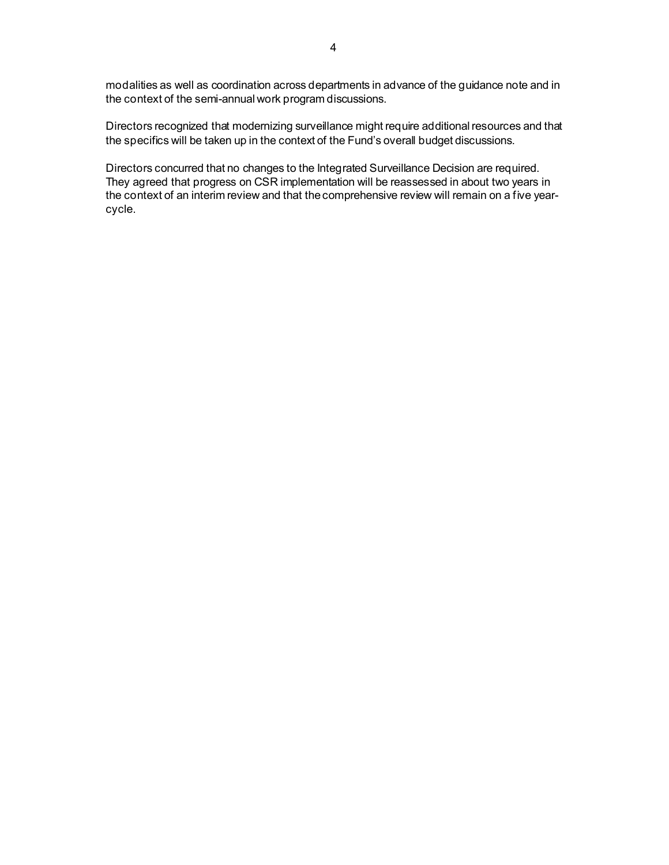modalities as well as coordination across departments in advance of the guidance note and in the context of the semi-annual work program discussions.

Directors recognized that modernizing surveillance might require additional resources and that the specifics will be taken up in the context of the Fund's overall budget discussions.

Directors concurred that no changes to the Integrated Surveillance Decision are required. They agreed that progress on CSR implementation will be reassessed in about two years in the context of an interim review and that the comprehensive review will remain on a five yearcycle.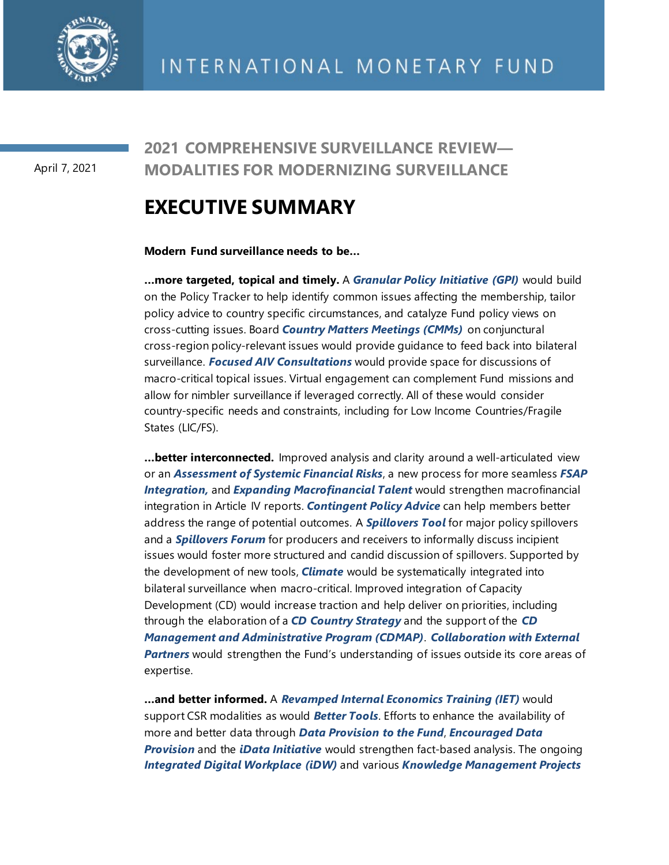

April 7, 2021

## **2021 COMPREHENSIVE SURVEILLANCE REVIEW— MODALITIES FOR MODERNIZING SURVEILLANCE**

## **EXECUTIVE SUMMARY**

**Modern Fund surveillance needs to be…** 

**…more targeted, topical and timely.** A *Granular Policy Initiative (GPI)* would build on the Policy Tracker to help identify common issues affecting the membership, tailor policy advice to country specific circumstances, and catalyze Fund policy views on cross-cutting issues. Board *Country Matters Meetings (CMMs)* on conjunctural cross-region policy-relevant issues would provide guidance to feed back into bilateral surveillance. *Focused AIV Consultations* would provide space for discussions of macro-critical topical issues. Virtual engagement can complement Fund missions and allow for nimbler surveillance if leveraged correctly. All of these would consider country-specific needs and constraints, including for Low Income Countries/Fragile States (LIC/FS).

**…better interconnected.** Improved analysis and clarity around a well-articulated view or an *Assessment of Systemic Financial Risks*, a new process for more seamless *FSAP Integration,* and *Expanding Macrofinancial Talent* would strengthen macrofinancial integration in Article IV reports. *Contingent Policy Advice* can help members better address the range of potential outcomes. A *Spillovers Tool* for major policy spillovers and a *Spillovers Forum* for producers and receivers to informally discuss incipient issues would foster more structured and candid discussion of spillovers. Supported by the development of new tools, *Climate* would be systematically integrated into bilateral surveillance when macro-critical. Improved integration of Capacity Development (CD) would increase traction and help deliver on priorities, including through the elaboration of a *CD Country Strategy* and the support of the *CD Management and Administrative Program (CDMAP)*. *Collaboration with External Partners* would strengthen the Fund's understanding of issues outside its core areas of expertise.

**…and better informed.** A *Revamped Internal Economics Training (IET)* would support CSR modalities as would *Better Tools*. Efforts to enhance the availability of more and better data through *Data Provision to the Fund*, *Encouraged Data Provision* and the *iData Initiative* would strengthen fact-based analysis. The ongoing *Integrated Digital Workplace (iDW)* and various *Knowledge Management Projects*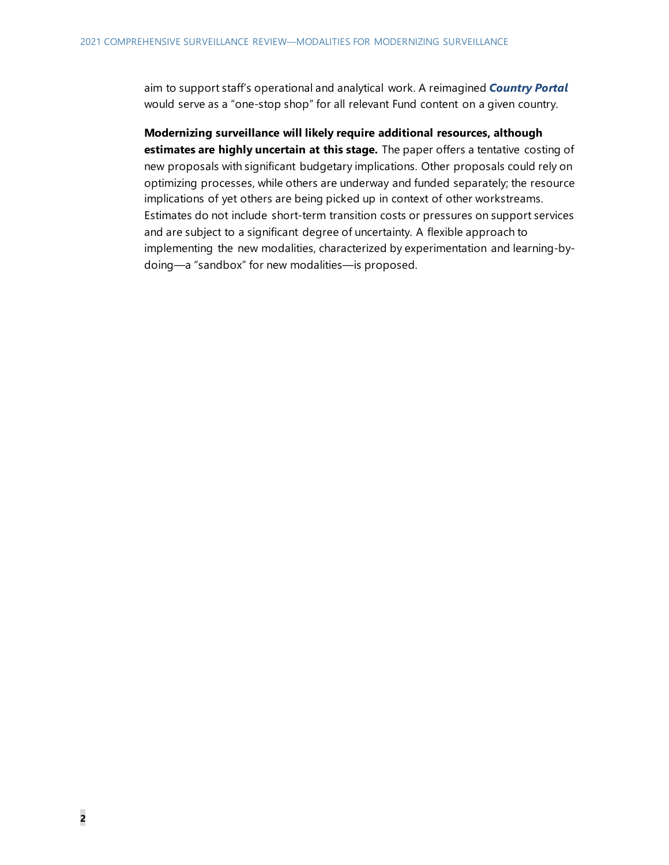aim to support staff's operational and analytical work. A reimagined *Country Portal*  would serve as a "one-stop shop" for all relevant Fund content on a given country.

**Modernizing surveillance will likely require additional resources, although estimates are highly uncertain at this stage.** The paper offers a tentative costing of new proposals with significant budgetary implications. Other proposals could rely on optimizing processes, while others are underway and funded separately; the resource implications of yet others are being picked up in context of other workstreams. Estimates do not include short-term transition costs or pressures on support services and are subject to a significant degree of uncertainty. A flexible approach to implementing the new modalities, characterized by experimentation and learning-bydoing—a "sandbox" for new modalities—is proposed.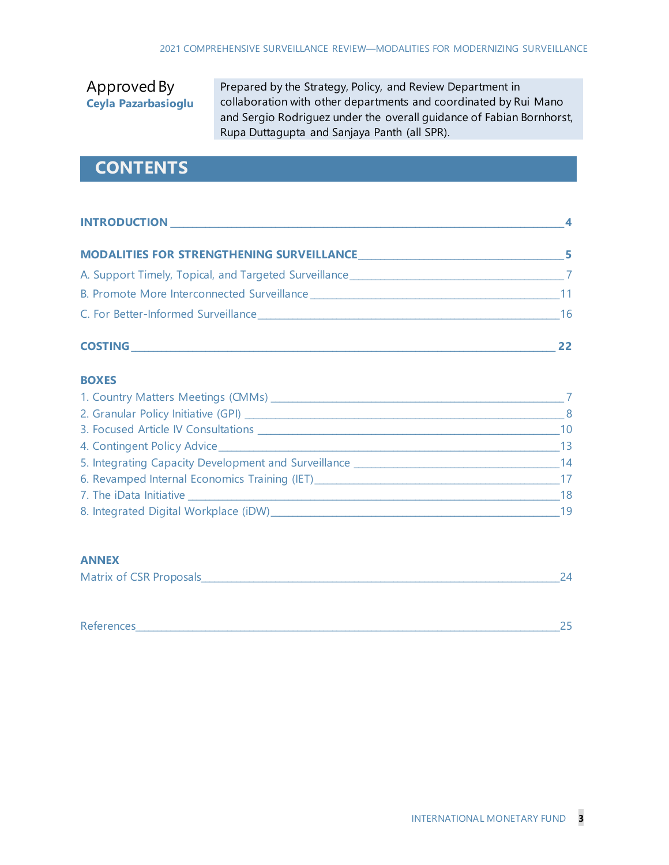## Approved By **Ceyla Pazarbasioglu**

Prepared by the Strategy, Policy, and Review Department in collaboration with other departments and coordinated by Rui Mano and Sergio Rodriguez under the overall guidance of Fabian Bornhorst, Rupa Duttagupta and Sanjaya Panth (all SPR).

## **CONTENTS**

| <b>INTRODUCTION</b>                                                              |     |
|----------------------------------------------------------------------------------|-----|
| <b>MODALITIES FOR STRENGTHENING SURVEILLANCE</b>                                 | 5   |
| A. Support Timely, Topical, and Targeted Surveillance___________________________ |     |
| B. Promote More Interconnected Surveillance                                      |     |
| C. For Better-Informed Surveillance <b>Example 2006</b>                          | -16 |

#### **COSTING\_\_\_\_\_\_\_\_\_\_\_\_\_\_\_\_\_\_\_\_\_\_\_\_\_\_\_\_\_\_\_\_\_\_\_\_\_\_\_\_\_\_\_\_\_\_\_\_\_\_\_\_\_\_\_\_\_\_\_\_\_\_\_\_\_\_\_\_\_\_\_\_\_\_\_\_\_\_\_\_\_\_\_\_\_\_\_\_\_\_\_\_\_\_\_\_\_ 22**

#### **BOXES**

| 1. Country Matters Meetings (CMMs)                                               |     |
|----------------------------------------------------------------------------------|-----|
| 2. Granular Policy Initiative (GPI) __________                                   | - 8 |
| 3. Focused Article IV Consultations _________                                    | 10  |
| 4. Contingent Policy Advice_____________                                         | -13 |
| 5. Integrating Capacity Development and Surveillance ___________________________ | 14  |
| 6. Revamped Internal Economics Training (IET)                                    | 17  |
| 7. The iData Initiative                                                          | 18  |
| 8. Integrated Digital Workplace (iDW)                                            | 19  |

#### **ANNEX**

| Matrix of CSR Proposals |  |  |
|-------------------------|--|--|
|-------------------------|--|--|

| $\sim$<br>References | - |  |
|----------------------|---|--|
|----------------------|---|--|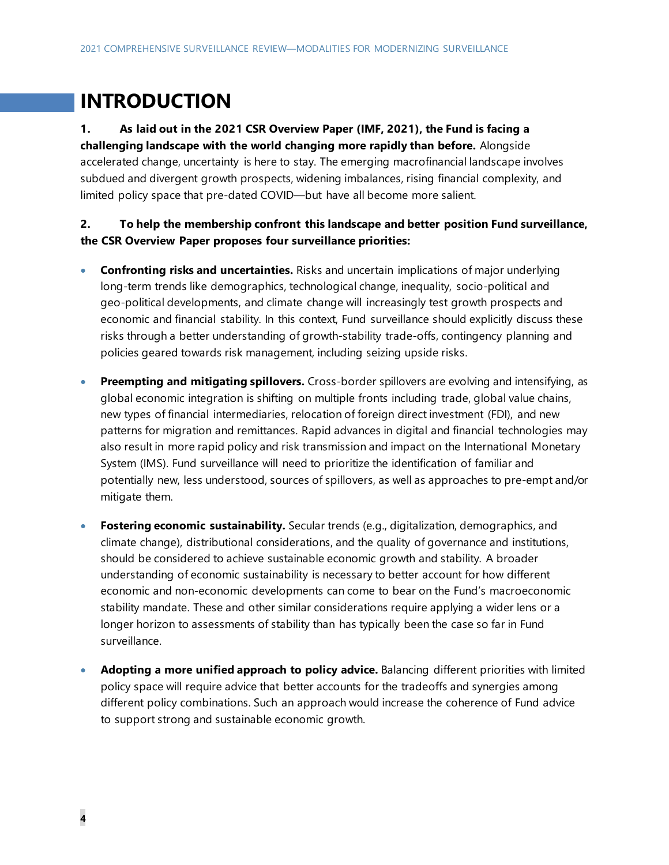## **INTRODUCTION**

## **1. As laid out in the 2021 CSR Overview Paper (IMF, 2021), the Fund is facing a challenging landscape with the world changing more rapidly than before.** Alongside

accelerated change, uncertainty is here to stay. The emerging macrofinancial landscape involves subdued and divergent growth prospects, widening imbalances, rising financial complexity, and limited policy space that pre-dated COVID—but have all become more salient.

### **2. To help the membership confront this landscape and better position Fund surveillance, the CSR Overview Paper proposes four surveillance priorities:**

- **Confronting risks and uncertainties.** Risks and uncertain implications of major underlying long-term trends like demographics, technological change, inequality, socio-political and geo-political developments, and climate change will increasingly test growth prospects and economic and financial stability. In this context, Fund surveillance should explicitly discuss these risks through a better understanding of growth-stability trade-offs, contingency planning and policies geared towards risk management, including seizing upside risks.
- **Preempting and mitigating spillovers.** Cross-border spillovers are evolving and intensifying, as global economic integration is shifting on multiple fronts including trade, global value chains, new types of financial intermediaries, relocation of foreign direct investment (FDI), and new patterns for migration and remittances. Rapid advances in digital and financial technologies may also result in more rapid policy and risk transmission and impact on the International Monetary System (IMS). Fund surveillance will need to prioritize the identification of familiar and potentially new, less understood, sources of spillovers, as well as approaches to pre-empt and/or mitigate them.
- **Fostering economic sustainability.** Secular trends (e.g., digitalization, demographics, and climate change), distributional considerations, and the quality of governance and institutions, should be considered to achieve sustainable economic growth and stability. A broader understanding of economic sustainability is necessary to better account for how different economic and non-economic developments can come to bear on the Fund's macroeconomic stability mandate. These and other similar considerations require applying a wider lens or a longer horizon to assessments of stability than has typically been the case so far in Fund surveillance.
- **Adopting a more unified approach to policy advice.** Balancing different priorities with limited policy space will require advice that better accounts for the tradeoffs and synergies among different policy combinations. Such an approach would increase the coherence of Fund advice to support strong and sustainable economic growth.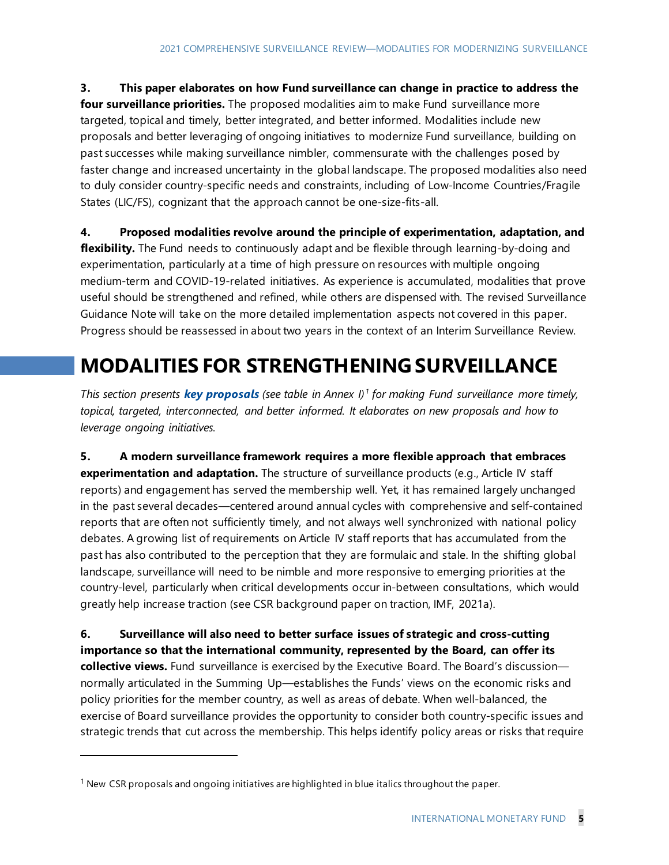**3. This paper elaborates on how Fund surveillance can change in practice to address the four surveillance priorities.** The proposed modalities aim to make Fund surveillance more targeted, topical and timely, better integrated, and better informed. Modalities include new proposals and better leveraging of ongoing initiatives to modernize Fund surveillance, building on past successes while making surveillance nimbler, commensurate with the challenges posed by faster change and increased uncertainty in the global landscape. The proposed modalities also need to duly consider country-specific needs and constraints, including of Low-Income Countries/Fragile States (LIC/FS), cognizant that the approach cannot be one-size-fits-all.

**4. Proposed modalities revolve around the principle of experimentation, adaptation, and**  flexibility. The Fund needs to continuously adapt and be flexible through learning-by-doing and experimentation, particularly at a time of high pressure on resources with multiple ongoing medium-term and COVID-19-related initiatives. As experience is accumulated, modalities that prove useful should be strengthened and refined, while others are dispensed with. The revised Surveillance Guidance Note will take on the more detailed implementation aspects not covered in this paper. Progress should be reassessed in about two years in the context of an Interim Surveillance Review.

## **MODALITIES FOR STRENGTHENING SURVEILLANCE**

*This section presents key proposals (see table in Annex I) [1](#page-9-0) for making Fund surveillance more timely, topical, targeted, interconnected, and better informed. It elaborates on new proposals and how to leverage ongoing initiatives.* 

**5. A modern surveillance framework requires a more flexible approach that embraces experimentation and adaptation.** The structure of surveillance products (e.g., Article IV staff reports) and engagement has served the membership well. Yet, it has remained largely unchanged in the past several decades—centered around annual cycles with comprehensive and self-contained reports that are often not sufficiently timely, and not always well synchronized with national policy debates. A growing list of requirements on Article IV staff reports that has accumulated from the past has also contributed to the perception that they are formulaic and stale. In the shifting global landscape, surveillance will need to be nimble and more responsive to emerging priorities at the country-level, particularly when critical developments occur in-between consultations, which would greatly help increase traction (see CSR background paper on traction, IMF, 2021a).

**6. Surveillance will also need to better surface issues of strategic and cross-cutting importance so that the international community, represented by the Board, can offer its collective views.** Fund surveillance is exercised by the Executive Board. The Board's discussion normally articulated in the Summing Up—establishes the Funds' views on the economic risks and policy priorities for the member country, as well as areas of debate. When well-balanced, the exercise of Board surveillance provides the opportunity to consider both country-specific issues and strategic trends that cut across the membership. This helps identify policy areas or risks that require

<span id="page-9-0"></span> $1$  New CSR proposals and ongoing initiatives are highlighted in blue italics throughout the paper.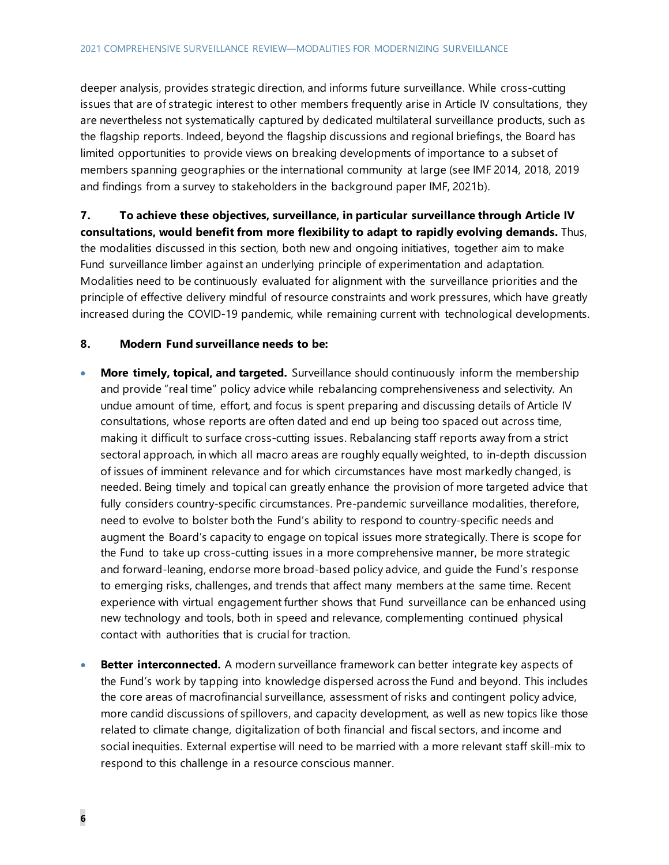deeper analysis, provides strategic direction, and informs future surveillance. While cross-cutting issues that are of strategic interest to other members frequently arise in Article IV consultations, they are nevertheless not systematically captured by dedicated multilateral surveillance products, such as the flagship reports. Indeed, beyond the flagship discussions and regional briefings, the Board has limited opportunities to provide views on breaking developments of importance to a subset of members spanning geographies or the international community at large (see IMF 2014, 2018, 2019 and findings from a survey to stakeholders in the background paper IMF, 2021b).

**7. To achieve these objectives, surveillance, in particular surveillance through Article IV consultations, would benefit from more flexibility to adapt to rapidly evolving demands.** Thus, the modalities discussed in this section, both new and ongoing initiatives, together aim to make Fund surveillance limber against an underlying principle of experimentation and adaptation. Modalities need to be continuously evaluated for alignment with the surveillance priorities and the principle of effective delivery mindful of resource constraints and work pressures, which have greatly increased during the COVID-19 pandemic, while remaining current with technological developments.

#### **8. Modern Fund surveillance needs to be:**

- **More timely, topical, and targeted.** Surveillance should continuously inform the membership and provide "real time" policy advice while rebalancing comprehensiveness and selectivity. An undue amount of time, effort, and focus is spent preparing and discussing details of Article IV consultations, whose reports are often dated and end up being too spaced out across time, making it difficult to surface cross-cutting issues. Rebalancing staff reports away from a strict sectoral approach, in which all macro areas are roughly equally weighted, to in-depth discussion of issues of imminent relevance and for which circumstances have most markedly changed, is needed. Being timely and topical can greatly enhance the provision of more targeted advice that fully considers country-specific circumstances. Pre-pandemic surveillance modalities, therefore, need to evolve to bolster both the Fund's ability to respond to country-specific needs and augment the Board's capacity to engage on topical issues more strategically. There is scope for the Fund to take up cross-cutting issues in a more comprehensive manner, be more strategic and forward-leaning, endorse more broad-based policy advice, and guide the Fund's response to emerging risks, challenges, and trends that affect many members at the same time. Recent experience with virtual engagement further shows that Fund surveillance can be enhanced using new technology and tools, both in speed and relevance, complementing continued physical contact with authorities that is crucial for traction.
- **Better interconnected.** A modern surveillance framework can better integrate key aspects of the Fund's work by tapping into knowledge dispersed across the Fund and beyond. This includes the core areas of macrofinancial surveillance, assessment of risks and contingent policy advice, more candid discussions of spillovers, and capacity development, as well as new topics like those related to climate change, digitalization of both financial and fiscal sectors, and income and social inequities. External expertise will need to be married with a more relevant staff skill-mix to respond to this challenge in a resource conscious manner.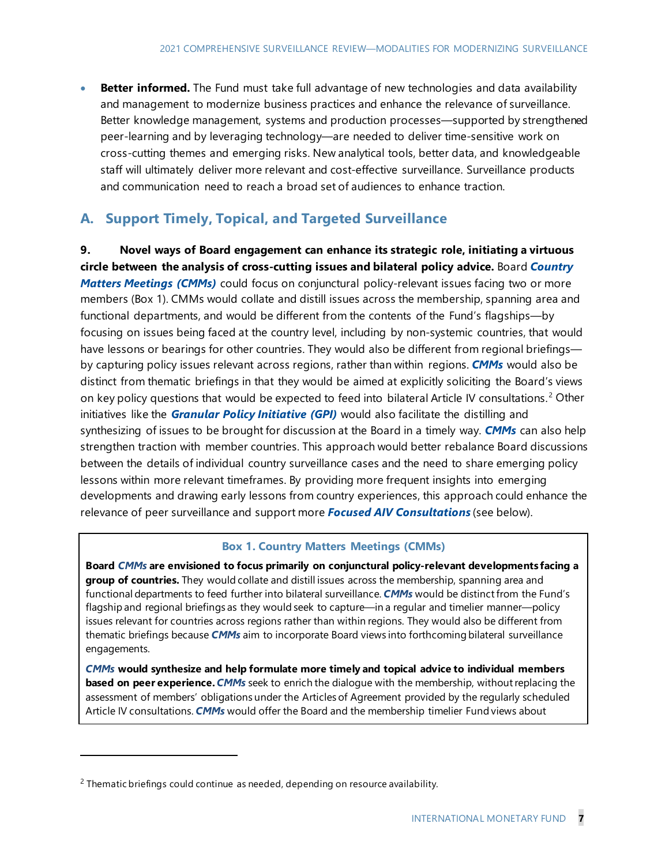• **Better informed.** The Fund must take full advantage of new technologies and data availability and management to modernize business practices and enhance the relevance of surveillance. Better knowledge management, systems and production processes—supported by strengthened peer-learning and by leveraging technology—are needed to deliver time-sensitive work on cross-cutting themes and emerging risks. New analytical tools, better data, and knowledgeable staff will ultimately deliver more relevant and cost-effective surveillance. Surveillance products and communication need to reach a broad set of audiences to enhance traction.

## **A. Support Timely, Topical, and Targeted Surveillance**

**9. Novel ways of Board engagement can enhance its strategic role, initiating a virtuous circle between the analysis of cross-cutting issues and bilateral policy advice.** Board *Country Matters Meetings (CMMs)* could focus on conjunctural policy-relevant issues facing two or more members (Box 1). CMMs would collate and distill issues across the membership, spanning area and functional departments, and would be different from the contents of the Fund's flagships—by focusing on issues being faced at the country level, including by non-systemic countries, that would have lessons or bearings for other countries. They would also be different from regional briefings by capturing policy issues relevant across regions, rather than within regions. *CMMs* would also be distinct from thematic briefings in that they would be aimed at explicitly soliciting the Board's views on key policy questions that would be expected to feed into bilateral Article IV consultations.<sup>[2](#page-11-0)</sup> Other initiatives like the *Granular Policy Initiative (GPI)* would also facilitate the distilling and synthesizing of issues to be brought for discussion at the Board in a timely way. *CMMs* can also help strengthen traction with member countries. This approach would better rebalance Board discussions between the details of individual country surveillance cases and the need to share emerging policy lessons within more relevant timeframes. By providing more frequent insights into emerging developments and drawing early lessons from country experiences, this approach could enhance the relevance of peer surveillance and support more *Focused AIV Consultations* (see below).

#### **Box 1. Country Matters Meetings (CMMs)**

**Board** *CMMs* **are envisioned to focus primarily on conjunctural policy-relevant developments facing a group of countries.** They would collate and distill issues across the membership, spanning area and functional departments to feed further into bilateral surveillance. *CMMs* would be distinct from the Fund's flagship and regional briefings as they would seek to capture—in a regular and timelier manner—policy issues relevant for countries across regions rather than within regions. They would also be different from thematic briefings because *CMMs* aim to incorporate Board views into forthcoming bilateral surveillance engagements.

*CMMs* **would synthesize and help formulate more timely and topical advice to individual members based on peer experience.***CMMs* seek to enrich the dialogue with the membership, without replacing the assessment of members' obligations under the Articles of Agreement provided by the regularly scheduled Article IV consultations. *CMMs* would offer the Board and the membership timelier Fund views about

<span id="page-11-0"></span> $2$  Thematic briefings could continue as needed, depending on resource availability.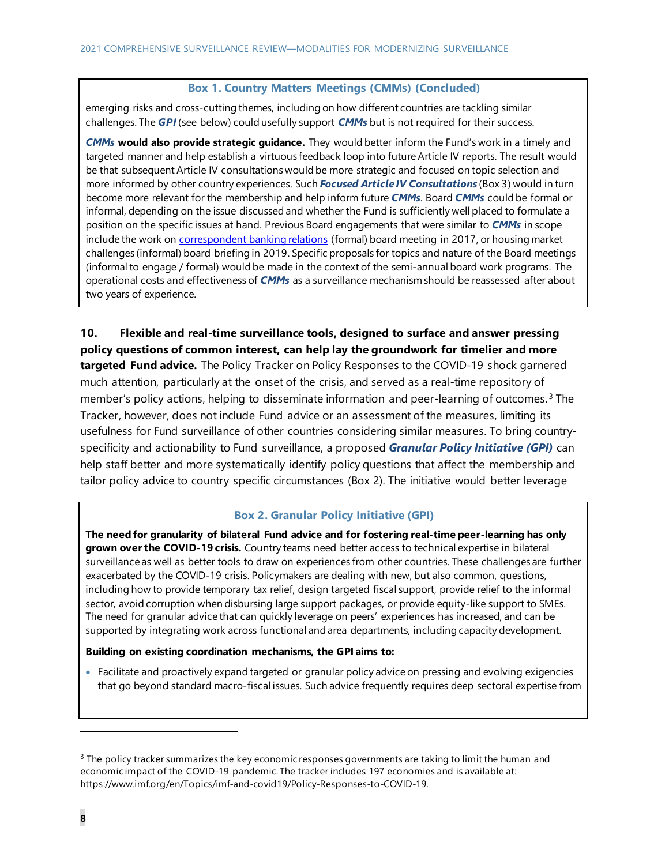#### **Box 1. Country Matters Meetings (CMMs) (Concluded)**

emerging risks and cross-cutting themes, including on how different countries are tackling similar challenges. The *GPI* (see below) could usefully support *CMMs* but is not required for their success.

*CMMs* **would also provide strategic guidance.** They would better inform the Fund's work in a timely and targeted manner and help establish a virtuous feedback loop into future Article IV reports. The result would be that subsequent Article IV consultations would be more strategic and focused on topic selection and more informed by other country experiences. Such *Focused Article IV Consultations* (Box 3) would in turn become more relevant for the membership and help inform future *CMMs*. Board *CMMs* could be formal or informal, depending on the issue discussed and whether the Fund is sufficiently well placed to formulate a position on the specific issues at hand. Previous Board engagements that were similar to *CMMs* in scope include the work on [correspondent banking relations](https://www.imf.org/-/media/Files/Publications/PP/031617.ashx) (formal) board meeting in 2017, or housing market challenges (informal) board briefing in 2019. Specific proposals for topics and nature of the Board meetings (informal to engage / formal) would be made in the context of the semi-annual board work programs. The operational costs and effectiveness of *CMMs* as a surveillance mechanism should be reassessed after about two years of experience.

**10. Flexible and real-time surveillance tools, designed to surface and answer pressing policy questions of common interest, can help lay the groundwork for timelier and more targeted Fund advice.** The Policy Tracker on Policy Responses to the COVID-19 shock garnered much attention, particularly at the onset of the crisis, and served as a real-time repository of member's policy actions, helping to disseminate information and peer-learning of outcomes.<sup>[3](#page-12-0)</sup> The Tracker, however, does not include Fund advice or an assessment of the measures, limiting its usefulness for Fund surveillance of other countries considering similar measures. To bring countryspecificity and actionability to Fund surveillance, a proposed *Granular Policy Initiative (GPI)* can help staff better and more systematically identify policy questions that affect the membership and tailor policy advice to country specific circumstances (Box 2). The initiative would better leverage

#### **Box 2. Granular Policy Initiative (GPI)**

**The need for granularity of bilateral Fund advice and for fostering real-time peer-learning has only grown over the COVID-19 crisis.** Country teams need better access to technical expertise in bilateral surveillance as well as better tools to draw on experiences from other countries. These challenges are further exacerbated by the COVID-19 crisis. Policymakers are dealing with new, but also common, questions, including how to provide temporary tax relief, design targeted fiscal support, provide relief to the informal sector, avoid corruption when disbursing large support packages, or provide equity-like support to SMEs. The need for granular advice that can quickly leverage on peers' experiences has increased, and can be supported by integrating work across functional and area departments, including capacity development.

#### **Building on existing coordination mechanisms, the GPI aims to:**

• Facilitate and proactively expand targeted or granular policy advice on pressing and evolving exigencies that go beyond standard macro-fiscal issues. Such advice frequently requires deep sectoral expertise from

<span id="page-12-0"></span> $3$  The policy tracker summarizes the key economic responses governments are taking to limit the human and economic impact of the COVID-19 pandemic. The tracker includes 197 economies and is available at: https://www.imf.org/en/Topics/imf-and-covid19/Policy-Responses-to-COVID-19.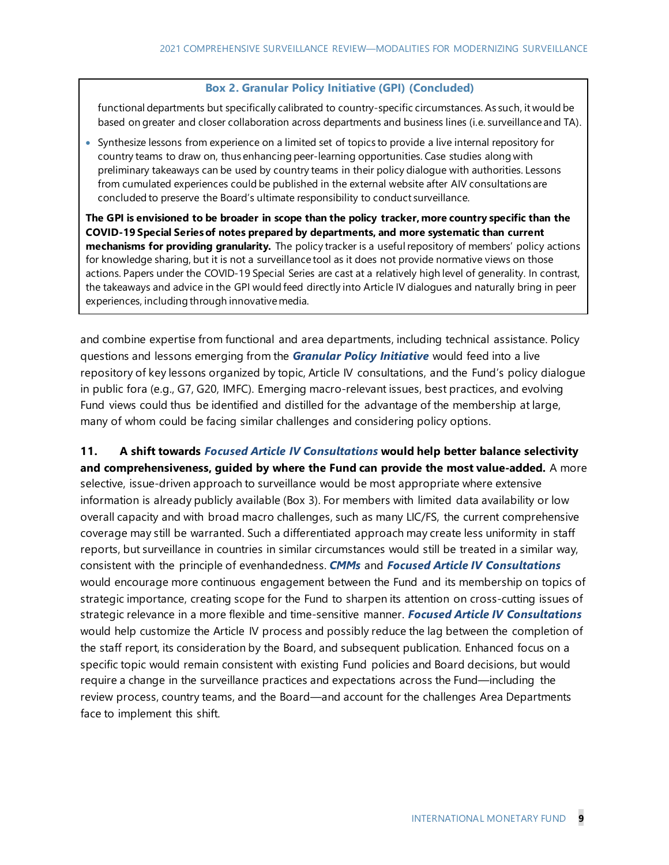#### **Box 2. Granular Policy Initiative (GPI) (Concluded)**

functional departments but specifically calibrated to country-specific circumstances. As such, it would be based on greater and closer collaboration across departments and business lines (i.e. surveillance and TA).

• Synthesize lessons from experience on a limited set of topics to provide a live internal repository for country teams to draw on, thus enhancing peer-learning opportunities. Case studies along with preliminary takeaways can be used by country teams in their policy dialogue with authorities. Lessons from cumulated experiences could be published in the external website after AIV consultations are concluded to preserve the Board's ultimate responsibility to conduct surveillance.

**The GPI is envisioned to be broader in scope than the policy tracker, more country specific than the COVID-19 Special Series of notes prepared by departments, and more systematic than current mechanisms for providing granularity.** The policy tracker is a useful repository of members' policy actions for knowledge sharing, but it is not a surveillance tool as it does not provide normative views on those actions. Papers under the COVID-19 Special Series are cast at a relatively high level of generality. In contrast, the takeaways and advice in the GPI would feed directly into Article IV dialogues and naturally bring in peer experiences, including through innovative media.

and combine expertise from functional and area departments, including technical assistance. Policy questions and lessons emerging from the *Granular Policy Initiative* would feed into a live repository of key lessons organized by topic, Article IV consultations, and the Fund's policy dialogue in public fora (e.g., G7, G20, IMFC). Emerging macro-relevant issues, best practices, and evolving Fund views could thus be identified and distilled for the advantage of the membership at large, many of whom could be facing similar challenges and considering policy options.

**11. A shift towards** *Focused Article IV Consultations* **would help better balance selectivity and comprehensiveness, guided by where the Fund can provide the most value-added.** A more selective, issue-driven approach to surveillance would be most appropriate where extensive information is already publicly available (Box 3). For members with limited data availability or low overall capacity and with broad macro challenges, such as many LIC/FS, the current comprehensive coverage may still be warranted. Such a differentiated approach may create less uniformity in staff reports, but surveillance in countries in similar circumstances would still be treated in a similar way, consistent with the principle of evenhandedness. *CMMs* and *Focused Article IV Consultations* would encourage more continuous engagement between the Fund and its membership on topics of strategic importance, creating scope for the Fund to sharpen its attention on cross-cutting issues of strategic relevance in a more flexible and time-sensitive manner. *Focused Article IV Consultations* would help customize the Article IV process and possibly reduce the lag between the completion of the staff report, its consideration by the Board, and subsequent publication. Enhanced focus on a specific topic would remain consistent with existing Fund policies and Board decisions, but would require a change in the surveillance practices and expectations across the Fund—including the review process, country teams, and the Board—and account for the challenges Area Departments face to implement this shift.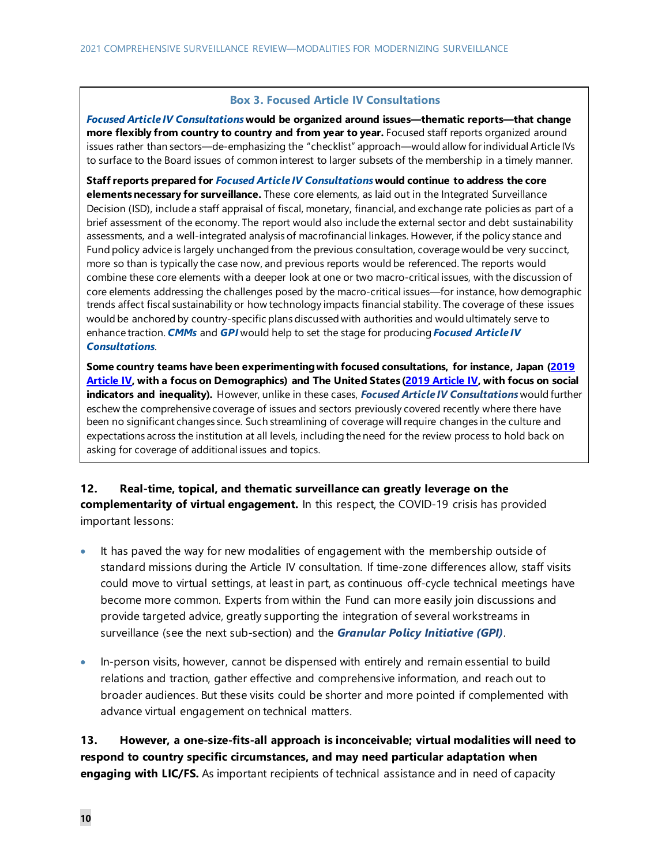#### **Box 3. Focused Article IV Consultations**

*Focused Article IV Consultations***would be organized around issues—thematic reports—that change more flexibly from country to country and from year to year.** Focused staff reports organized around issues rather than sectors—de-emphasizing the "checklist" approach—would allow for individual Article IVs to surface to the Board issues of common interest to larger subsets of the membership in a timely manner.

**Staff reports prepared for** *Focused Article IV Consultations***would continue to address the core elements necessary for surveillance.** These core elements, as laid out in the Integrated Surveillance Decision (ISD), include a staff appraisal of fiscal, monetary, financial, and exchange rate policies as part of a brief assessment of the economy. The report would also include the external sector and debt sustainability assessments, and a well-integrated analysis of macrofinancial linkages. However, if the policy stance and Fund policy advice is largely unchanged from the previous consultation, coverage would be very succinct, more so than is typically the case now, and previous reports would be referenced. The reports would combine these core elements with a deeper look at one or two macro-critical issues, with the discussion of core elements addressing the challenges posed by the macro-critical issues—for instance, how demographic trends affect fiscal sustainability or how technology impacts financial stability. The coverage of these issues would be anchored by country-specific plans discussed with authorities and would ultimately serve to enhance traction. *CMMs* and *GPI* would help to set the stage for producing *Focused Article IV Consultations*.

**Some country teams have been experimenting with focused consultations, for instance, Japan [\(2019](https://www.imf.org/en/Publications/CR/Issues/2020/02/07/Japan-2019-Article-IV-Consultation-Press-Release-Staff-Report-and-Statement-by-the-Executive-49032)  [Article IV,](https://www.imf.org/en/Publications/CR/Issues/2020/02/07/Japan-2019-Article-IV-Consultation-Press-Release-Staff-Report-and-Statement-by-the-Executive-49032) with a focus on Demographics) and The United States [\(2019 Article IV,](https://www.imf.org/en/Publications/CR/Issues/2019/06/24/United-States-2019-Article-IV-Consultation-Press-Release-Staff-Report-and-Statement-by-the-47019) with focus on social indicators and inequality).** However, unlike in these cases, *Focused Article IV Consultations* would further eschew the comprehensive coverage of issues and sectors previously covered recently where there have been no significant changes since. Such streamlining of coverage will require changes in the culture and expectations across the institution at all levels, including the need for the review process to hold back on asking for coverage of additional issues and topics.

**12. Real-time, topical, and thematic surveillance can greatly leverage on the complementarity of virtual engagement.** In this respect, the COVID-19 crisis has provided important lessons:

- It has paved the way for new modalities of engagement with the membership outside of standard missions during the Article IV consultation. If time-zone differences allow, staff visits could move to virtual settings, at least in part, as continuous off-cycle technical meetings have become more common. Experts from within the Fund can more easily join discussions and provide targeted advice, greatly supporting the integration of several workstreams in surveillance (see the next sub-section) and the *Granular Policy Initiative (GPI)*.
- In-person visits, however, cannot be dispensed with entirely and remain essential to build relations and traction, gather effective and comprehensive information, and reach out to broader audiences. But these visits could be shorter and more pointed if complemented with advance virtual engagement on technical matters.

**13. However, a one-size-fits-all approach is inconceivable; virtual modalities will need to respond to country specific circumstances, and may need particular adaptation when engaging with LIC/FS.** As important recipients of technical assistance and in need of capacity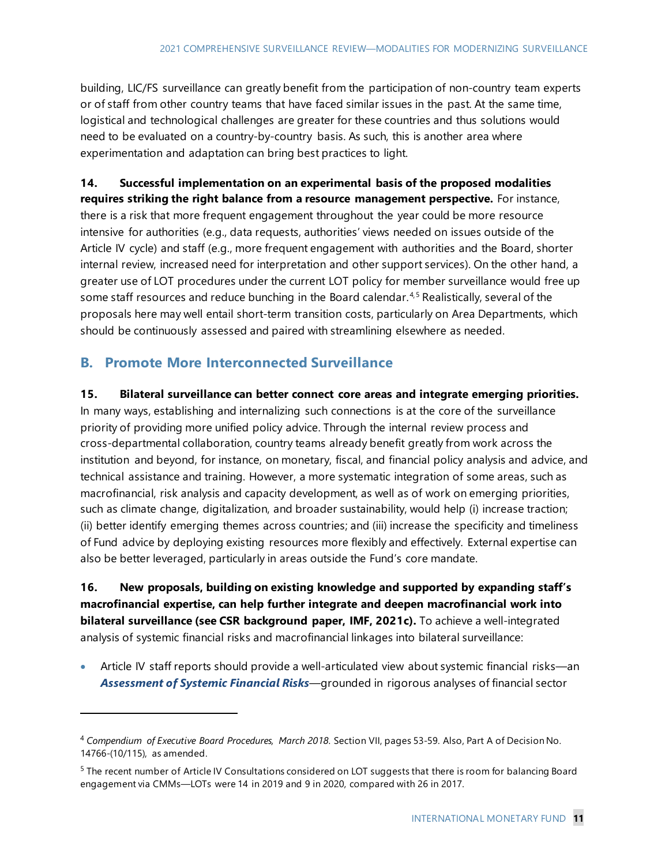building, LIC/FS surveillance can greatly benefit from the participation of non-country team experts or of staff from other country teams that have faced similar issues in the past. At the same time, logistical and technological challenges are greater for these countries and thus solutions would need to be evaluated on a country-by-country basis. As such, this is another area where experimentation and adaptation can bring best practices to light.

### **14. Successful implementation on an experimental basis of the proposed modalities requires striking the right balance from a resource management perspective.** For instance, there is a risk that more frequent engagement throughout the year could be more resource intensive for authorities (e.g., data requests, authorities' views needed on issues outside of the Article IV cycle) and staff (e.g., more frequent engagement with authorities and the Board, shorter internal review, increased need for interpretation and other support services). On the other hand, a greater use of LOT procedures under the current LOT policy for member surveillance would free up some staff resources and reduce bunching in the Board calendar.<sup>[4,](#page-15-0)[5](#page-15-1)</sup> Realistically, several of the proposals here may well entail short-term transition costs, particularly on Area Departments, which should be continuously assessed and paired with streamlining elsewhere as needed.

## **B. Promote More Interconnected Surveillance**

#### **15. Bilateral surveillance can better connect core areas and integrate emerging priorities.**

In many ways, establishing and internalizing such connections is at the core of the surveillance priority of providing more unified policy advice. Through the internal review process and cross-departmental collaboration, country teams already benefit greatly from work across the institution and beyond, for instance, on monetary, fiscal, and financial policy analysis and advice, and technical assistance and training. However, a more systematic integration of some areas, such as macrofinancial, risk analysis and capacity development, as well as of work on emerging priorities, such as climate change, digitalization, and broader sustainability, would help (i) increase traction; (ii) better identify emerging themes across countries; and (iii) increase the specificity and timeliness of Fund advice by deploying existing resources more flexibly and effectively. External expertise can also be better leveraged, particularly in areas outside the Fund's core mandate.

### **16. New proposals, building on existing knowledge and supported by expanding staff's macrofinancial expertise, can help further integrate and deepen macrofinancial work into bilateral surveillance (see CSR background paper, IMF, 2021c).** To achieve a well-integrated analysis of systemic financial risks and macrofinancial linkages into bilateral surveillance:

• Article IV staff reports should provide a well-articulated view about systemic financial risks—an *Assessment of Systemic Financial Risks*—grounded in rigorous analyses of financial sector

<span id="page-15-0"></span><sup>4</sup> *Compendium of Executive Board Procedures, March 2018*. Section VII, pages 53-59. Also, Part A of Decision No. 14766-(10/115), as amended.

<span id="page-15-1"></span><sup>&</sup>lt;sup>5</sup> The recent number of Article IV Consultations considered on LOT suggests that there is room for balancing Board engagement via CMMs—LOTs were 14 in 2019 and 9 in 2020, compared with 26 in 2017.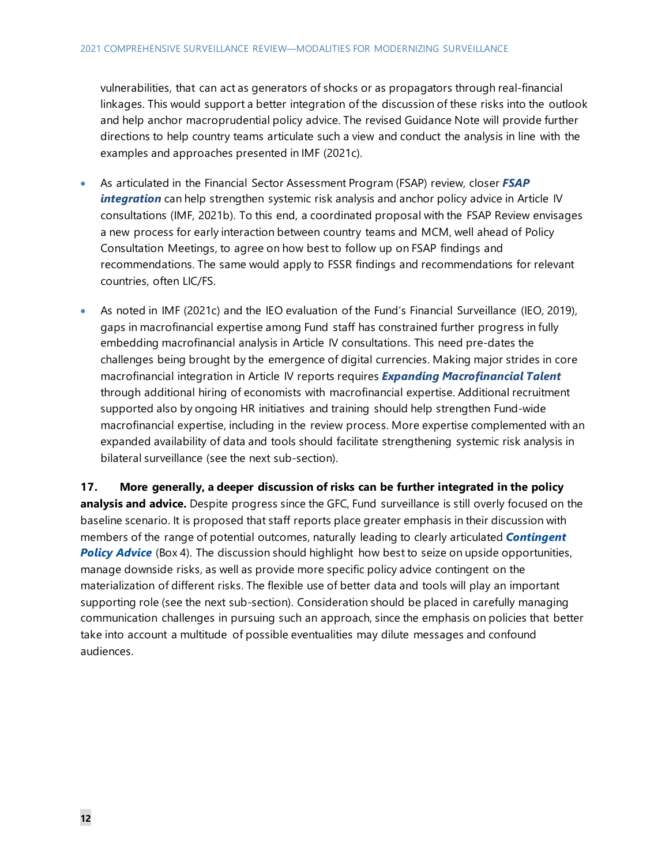vulnerabilities, that can act as generators of shocks or as propagators through real-financial linkages. This would support a better integration of the discussion of these risks into the outlook and help anchor macroprudential policy advice. The revised Guidance Note will provide further directions to help country teams articulate such a view and conduct the analysis in line with the examples and approaches presented in IMF (2021c).

- As articulated in the Financial Sector Assessment Program (FSAP) review, closer *FSAP integration* can help strengthen systemic risk analysis and anchor policy advice in Article IV consultations (IMF, 2021b). To this end, a coordinated proposal with the FSAP Review envisages a new process for early interaction between country teams and MCM, well ahead of Policy Consultation Meetings, to agree on how best to follow up on FSAP findings and recommendations. The same would apply to FSSR findings and recommendations for relevant countries, often LIC/FS.
- As noted in IMF (2021c) and the IEO evaluation of the Fund's Financial Surveillance (IEO, 2019), gaps in macrofinancial expertise among Fund staff has constrained further progress in fully embedding macrofinancial analysis in Article IV consultations. This need pre-dates the challenges being brought by the emergence of digital currencies. Making major strides in core macrofinancial integration in Article IV reports requires *Expanding Macrofinancial Talent*  through additional hiring of economists with macrofinancial expertise. Additional recruitment supported also by ongoing HR initiatives and training should help strengthen Fund-wide macrofinancial expertise, including in the review process. More expertise complemented with an expanded availability of data and tools should facilitate strengthening systemic risk analysis in bilateral surveillance (see the next sub-section).

**17. More generally, a deeper discussion of risks can be further integrated in the policy analysis and advice.** Despite progress since the GFC, Fund surveillance is still overly focused on the baseline scenario. It is proposed that staff reports place greater emphasis in their discussion with members of the range of potential outcomes, naturally leading to clearly articulated *Contingent*  **Policy Advice** (Box 4). The discussion should highlight how best to seize on upside opportunities, manage downside risks, as well as provide more specific policy advice contingent on the materialization of different risks. The flexible use of better data and tools will play an important supporting role (see the next sub-section). Consideration should be placed in carefully managing communication challenges in pursuing such an approach, since the emphasis on policies that better take into account a multitude of possible eventualities may dilute messages and confound audiences.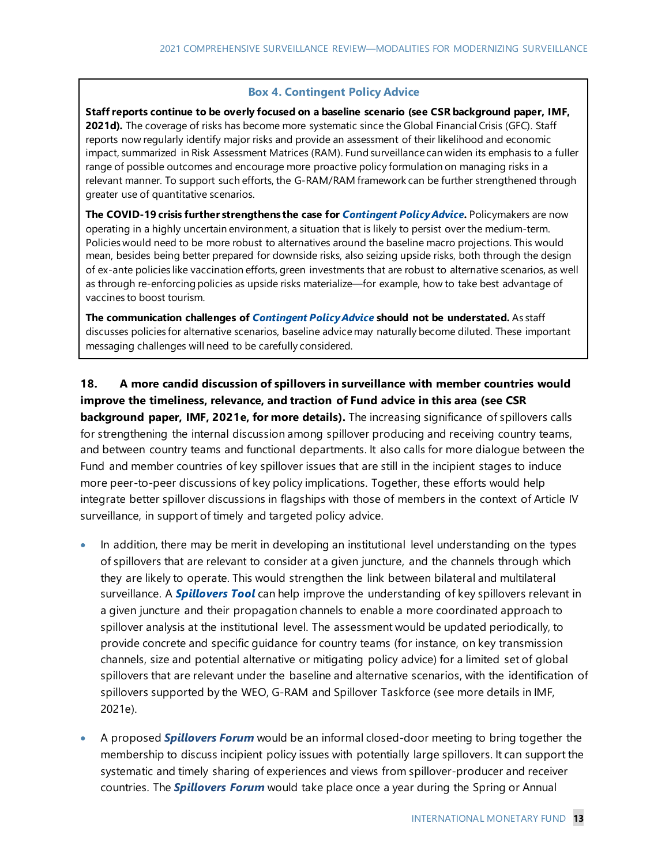#### **Box 4. Contingent Policy Advice**

**Staff reports continue to be overly focused on a baseline scenario (see CSR background paper, IMF,** 2021d). The coverage of risks has become more systematic since the Global Financial Crisis (GFC). Staff reports now regularly identify major risks and provide an assessment of their likelihood and economic impact, summarized in Risk Assessment Matrices (RAM). Fund surveillance can widen its emphasis to a fuller range of possible outcomes and encourage more proactive policy formulation on managing risks in a relevant manner. To support such efforts, the G-RAM/RAM framework can be further strengthened through greater use of quantitative scenarios.

**The COVID-19 crisis further strengthens the case for** *Contingent Policy Advice***.** Policymakers are now operating in a highly uncertain environment, a situation that is likely to persist over the medium-term. Policies would need to be more robust to alternatives around the baseline macro projections. This would mean, besides being better prepared for downside risks, also seizing upside risks, both through the design of ex-ante policies like vaccination efforts, green investments that are robust to alternative scenarios, as well as through re-enforcing policies as upside risks materialize—for example, how to take best advantage of vaccines to boost tourism.

**The communication challenges of** *Contingent Policy Advice* **should not be understated.** As staff discusses policies for alternative scenarios, baseline advice may naturally become diluted. These important messaging challenges will need to be carefully considered.

**18. A more candid discussion of spillovers in surveillance with member countries would improve the timeliness, relevance, and traction of Fund advice in this area (see CSR background paper, IMF, 2021e, for more details).** The increasing significance of spillovers calls for strengthening the internal discussion among spillover producing and receiving country teams, and between country teams and functional departments. It also calls for more dialogue between the Fund and member countries of key spillover issues that are still in the incipient stages to induce more peer-to-peer discussions of key policy implications. Together, these efforts would help integrate better spillover discussions in flagships with those of members in the context of Article IV surveillance, in support of timely and targeted policy advice.

- In addition, there may be merit in developing an institutional level understanding on the types of spillovers that are relevant to consider at a given juncture, and the channels through which they are likely to operate. This would strengthen the link between bilateral and multilateral surveillance. A *Spillovers Tool* can help improve the understanding of key spillovers relevant in a given juncture and their propagation channels to enable a more coordinated approach to spillover analysis at the institutional level. The assessment would be updated periodically, to provide concrete and specific guidance for country teams (for instance, on key transmission channels, size and potential alternative or mitigating policy advice) for a limited set of global spillovers that are relevant under the baseline and alternative scenarios, with the identification of spillovers supported by the WEO, G-RAM and Spillover Taskforce (see more details in IMF, 2021e).
- A proposed *Spillovers Forum* would be an informal closed-door meeting to bring together the membership to discuss incipient policy issues with potentially large spillovers. It can support the systematic and timely sharing of experiences and views from spillover-producer and receiver countries. The *Spillovers Forum* would take place once a year during the Spring or Annual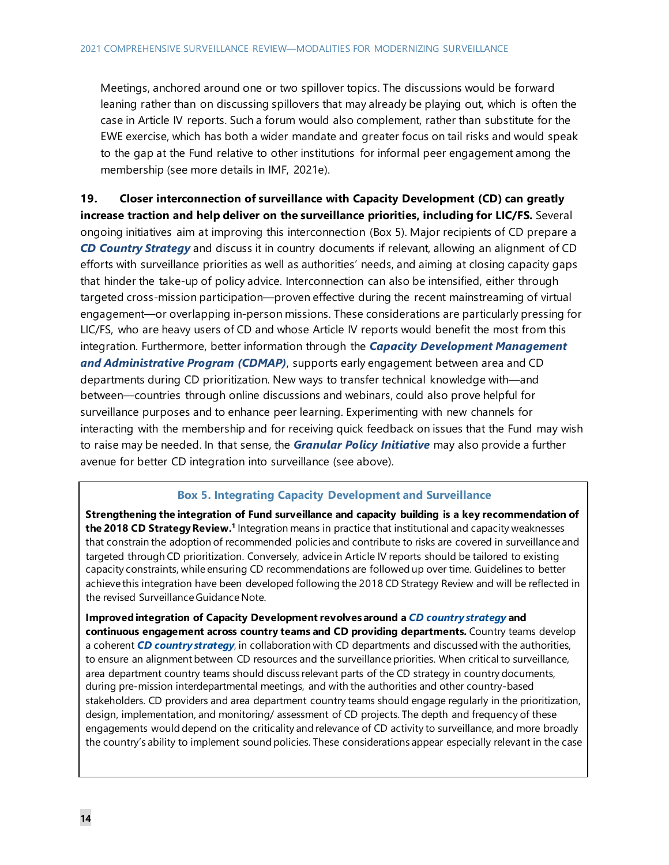Meetings, anchored around one or two spillover topics. The discussions would be forward leaning rather than on discussing spillovers that may already be playing out, which is often the case in Article IV reports. Such a forum would also complement, rather than substitute for the EWE exercise, which has both a wider mandate and greater focus on tail risks and would speak to the gap at the Fund relative to other institutions for informal peer engagement among the membership (see more details in IMF, 2021e).

**19. Closer interconnection of surveillance with Capacity Development (CD) can greatly increase traction and help deliver on the surveillance priorities, including for LIC/FS.** Several ongoing initiatives aim at improving this interconnection (Box 5). Major recipients of CD prepare a *CD Country Strategy* and discuss it in country documents if relevant, allowing an alignment of CD efforts with surveillance priorities as well as authorities' needs, and aiming at closing capacity gaps that hinder the take-up of policy advice. Interconnection can also be intensified, either through targeted cross-mission participation—proven effective during the recent mainstreaming of virtual engagement—or overlapping in-person missions. These considerations are particularly pressing for LIC/FS, who are heavy users of CD and whose Article IV reports would benefit the most from this integration. Furthermore, better information through the *Capacity Development Management and Administrative Program (CDMAP)*, supports early engagement between area and CD departments during CD prioritization. New ways to transfer technical knowledge with—and between—countries through online discussions and webinars, could also prove helpful for surveillance purposes and to enhance peer learning. Experimenting with new channels for interacting with the membership and for receiving quick feedback on issues that the Fund may wish to raise may be needed. In that sense, the *Granular Policy Initiative* may also provide a further avenue for better CD integration into surveillance (see above).

#### **Box 5. Integrating Capacity Development and Surveillance**

**Strengthening the integration of Fund surveillance and capacity building is a key recommendation of the 2018 CD Strategy Review.1** Integration means in practice that institutional and capacity weaknesses that constrain the adoption of recommended policies and contribute to risks are covered in surveillance and targeted through CD prioritization. Conversely, advice in Article IV reports should be tailored to existing capacity constraints, while ensuring CD recommendations are followed up over time. Guidelines to better achieve this integration have been developed following the 2018 CD Strategy Review and will be reflected in the revised Surveillance Guidance Note.

**Improvedintegration of Capacity Development revolves around a** *CD country strategy* **and continuous engagement across country teams and CD providing departments.** Country teams develop a coherent *CD country strategy*, in collaboration with CD departments and discussed with the authorities, to ensure an alignment between CD resources and the surveillance priorities. When critical to surveillance, area department country teams should discuss relevant parts of the CD strategy in country documents, during pre-mission interdepartmental meetings, and with the authorities and other country-based stakeholders. CD providers and area department country teams should engage regularly in the prioritization, design, implementation, and monitoring/ assessment of CD projects. The depth and frequency of these engagements would depend on the criticality and relevance of CD activity to surveillance, and more broadly the country's ability to implement sound policies. These considerations appear especially relevant in the case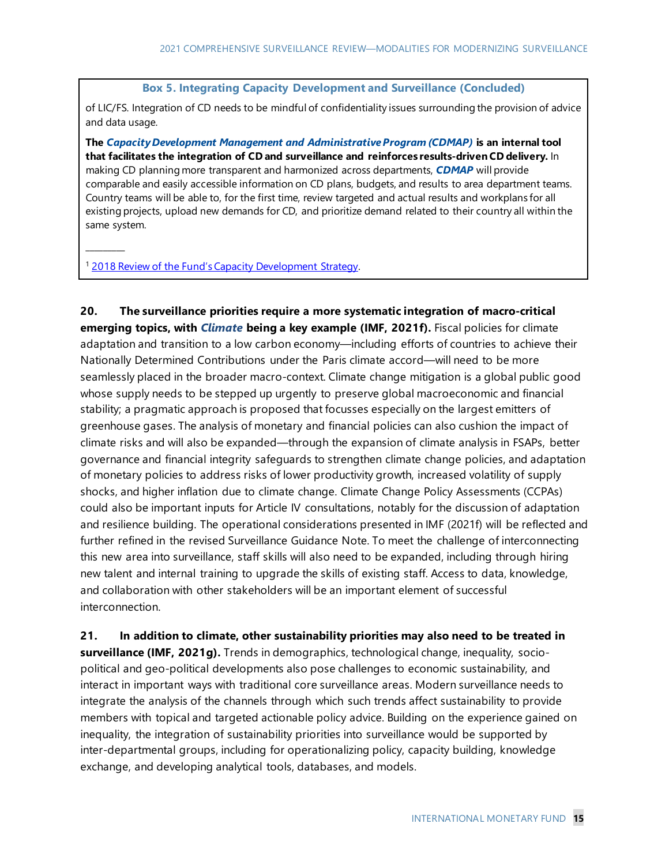#### **Box 5. Integrating Capacity Development and Surveillance (Concluded)**

of LIC/FS. Integration of CD needs to be mindful of confidentiality issues surrounding the provision of advice and data usage.

**The** *Capacity Development Management and Administrative Program (CDMAP)* **is an internal tool that facilitates the integration of CD and surveillance and reinforces results-driven CD delivery.** In making CD planning more transparent and harmonized across departments, *CDMAP* will provide comparable and easily accessible information on CD plans, budgets, and results to area department teams. Country teams will be able to, for the first time, review targeted and actual results and workplans for all existing projects, upload new demands for CD, and prioritize demand related to their country all within the same system.

<sup>1</sup> [2018 Review of the Fund's Capacity Development Strategy.](https://www.imf.org/en/Capacity-Development/strategy-policies)

 $\overline{\phantom{a}}$ 

**20. The surveillance priorities require a more systematic integration of macro-critical emerging topics, with** *Climate* **being a key example (IMF, 2021f).** Fiscal policies for climate adaptation and transition to a low carbon economy—including efforts of countries to achieve their Nationally Determined Contributions under the Paris climate accord—will need to be more seamlessly placed in the broader macro-context. Climate change mitigation is a global public good whose supply needs to be stepped up urgently to preserve global macroeconomic and financial stability; a pragmatic approach is proposed that focusses especially on the largest emitters of greenhouse gases. The analysis of monetary and financial policies can also cushion the impact of climate risks and will also be expanded—through the expansion of climate analysis in FSAPs, better governance and financial integrity safeguards to strengthen climate change policies, and adaptation of monetary policies to address risks of lower productivity growth, increased volatility of supply shocks, and higher inflation due to climate change. Climate Change Policy Assessments (CCPAs) could also be important inputs for Article IV consultations, notably for the discussion of adaptation and resilience building. The operational considerations presented in IMF (2021f) will be reflected and further refined in the revised Surveillance Guidance Note. To meet the challenge of interconnecting this new area into surveillance, staff skills will also need to be expanded, including through hiring new talent and internal training to upgrade the skills of existing staff. Access to data, knowledge, and collaboration with other stakeholders will be an important element of successful interconnection.

**21. In addition to climate, other sustainability priorities may also need to be treated in surveillance (IMF, 2021g).** Trends in demographics, technological change, inequality, sociopolitical and geo-political developments also pose challenges to economic sustainability, and interact in important ways with traditional core surveillance areas. Modern surveillance needs to integrate the analysis of the channels through which such trends affect sustainability to provide members with topical and targeted actionable policy advice. Building on the experience gained on inequality, the integration of sustainability priorities into surveillance would be supported by inter-departmental groups, including for operationalizing policy, capacity building, knowledge exchange, and developing analytical tools, databases, and models.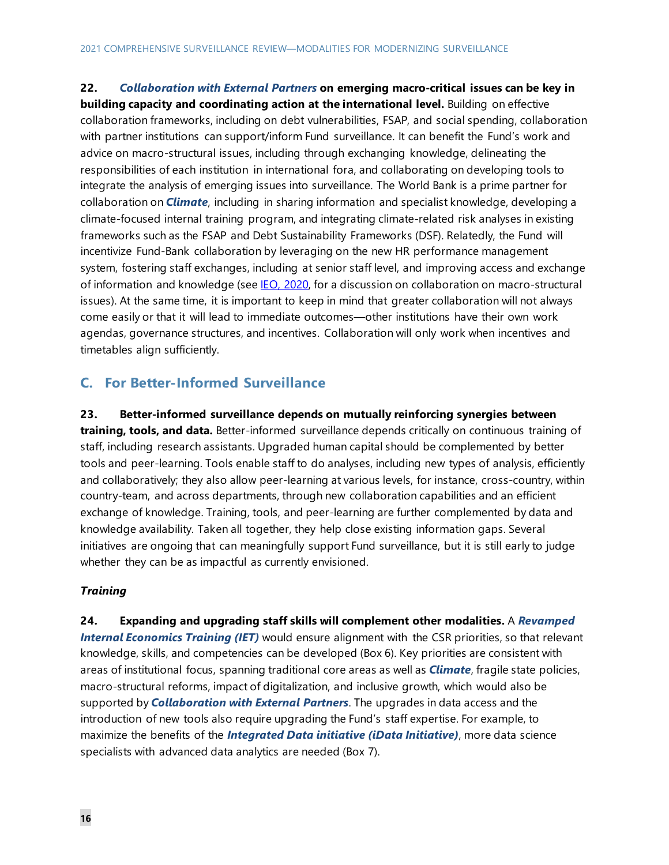**22.** *Collaboration with External Partners* **on emerging macro-critical issues can be key in building capacity and coordinating action at the international level.** Building on effective collaboration frameworks, including on debt vulnerabilities, FSAP, and social spending, collaboration with partner institutions can support/inform Fund surveillance. It can benefit the Fund's work and advice on macro-structural issues, including through exchanging knowledge, delineating the responsibilities of each institution in international fora, and collaborating on developing tools to integrate the analysis of emerging issues into surveillance. The World Bank is a prime partner for collaboration on *Climate*, including in sharing information and specialist knowledge, developing a climate-focused internal training program, and integrating climate-related risk analyses in existing frameworks such as the FSAP and Debt Sustainability Frameworks (DSF). Relatedly, the Fund will incentivize Fund-Bank collaboration by leveraging on the new HR performance management system, fostering staff exchanges, including at senior staff level, and improving access and exchange of information and knowledge (see [IEO, 2020,](https://www.bing.com/search?q=IMF+Collaboration+with+the+World+Bank+on+Macro-structural+Issues&form=IENTNB&mkt=en-us&httpsmsn=1&msnews=1&refig=ea2fb4fd2e0e4cdabdfa7bd4acae111d&sp=-1&pq=imf+collaboration+with+the+world+bank+on+macro-structural+issues&sc=0-64&qs=n&sk=&cvid=ea2fb4fd2e0e4cdabdfa7bd4acae111d) for a discussion on collaboration on macro-structural issues). At the same time, it is important to keep in mind that greater collaboration will not always come easily or that it will lead to immediate outcomes—other institutions have their own work agendas, governance structures, and incentives. Collaboration will only work when incentives and timetables align sufficiently.

### **C. For Better-Informed Surveillance**

**23. Better-informed surveillance depends on mutually reinforcing synergies between training, tools, and data.** Better-informed surveillance depends critically on continuous training of staff, including research assistants. Upgraded human capital should be complemented by better tools and peer-learning. Tools enable staff to do analyses, including new types of analysis, efficiently and collaboratively; they also allow peer-learning at various levels, for instance, cross-country, within country-team, and across departments, through new collaboration capabilities and an efficient exchange of knowledge. Training, tools, and peer-learning are further complemented by data and knowledge availability. Taken all together, they help close existing information gaps. Several initiatives are ongoing that can meaningfully support Fund surveillance, but it is still early to judge whether they can be as impactful as currently envisioned.

#### *Training*

**24. Expanding and upgrading staff skills will complement other modalities.** A *Revamped Internal Economics Training (IET)* would ensure alignment with the CSR priorities, so that relevant knowledge, skills, and competencies can be developed (Box 6). Key priorities are consistent with areas of institutional focus, spanning traditional core areas as well as *Climate*, fragile state policies, macro-structural reforms, impact of digitalization, and inclusive growth, which would also be supported by *Collaboration with External Partners*. The upgrades in data access and the introduction of new tools also require upgrading the Fund's staff expertise. For example, to maximize the benefits of the *Integrated Data initiative (iData Initiative)*, more data science specialists with advanced data analytics are needed (Box 7).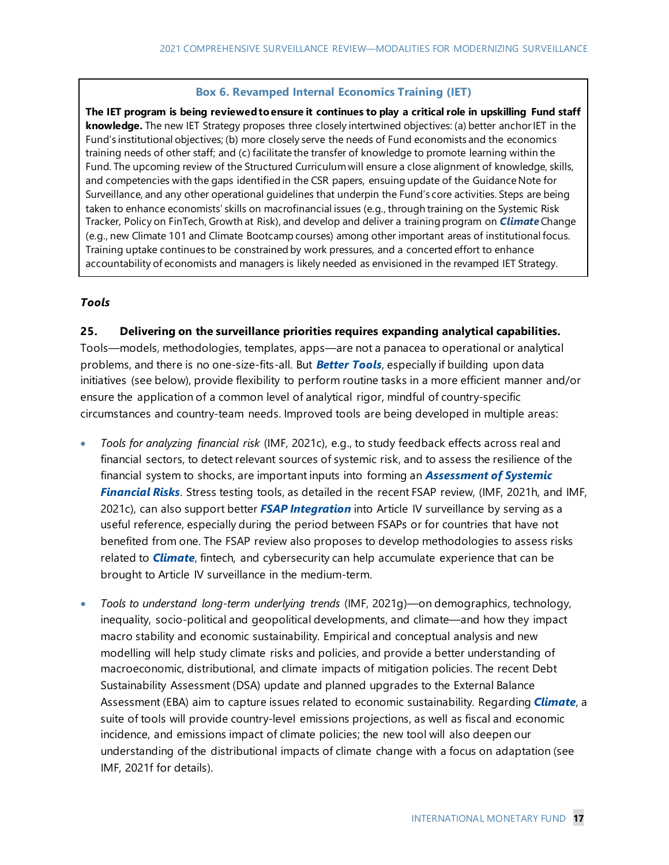#### **Box 6. Revamped Internal Economics Training (IET)**

**The IET program is being reviewed to ensure it continues to play a critical role in upskilling Fund staff knowledge.** The new IET Strategy proposes three closely intertwined objectives: (a) better anchor IET in the Fund's institutional objectives; (b) more closely serve the needs of Fund economists and the economics training needs of other staff; and (c) facilitate the transfer of knowledge to promote learning within the Fund. The upcoming review of the Structured Curriculumwill ensure a close alignment of knowledge, skills, and competencies with the gaps identified in the CSR papers, ensuing update of the Guidance Note for Surveillance, and any other operational guidelines that underpin the Fund's core activities. Steps are being taken to enhance economists' skills on macrofinancial issues (e.g., through training on the Systemic Risk Tracker, Policy on FinTech, Growth at Risk), and develop and deliver a training program on *Climate*Change (e.g., new Climate 101 and Climate Bootcamp courses) among other important areas of institutional focus. Training uptake continues to be constrained by work pressures, and a concerted effort to enhance accountability of economists and managers is likely needed as envisioned in the revamped IET Strategy.

#### *Tools*

#### **25. Delivering on the surveillance priorities requires expanding analytical capabilities.**

Tools—models, methodologies, templates, apps—are not a panacea to operational or analytical problems, and there is no one-size-fits-all. But *Better Tools*, especially if building upon data initiatives (see below), provide flexibility to perform routine tasks in a more efficient manner and/or ensure the application of a common level of analytical rigor, mindful of country-specific circumstances and country-team needs. Improved tools are being developed in multiple areas:

- *Tools for analyzing financial risk* (IMF, 2021c), e.g., to study feedback effects across real and financial sectors, to detect relevant sources of systemic risk, and to assess the resilience of the financial system to shocks, are important inputs into forming an *Assessment of Systemic Financial Risks*. Stress testing tools, as detailed in the recent FSAP review, (IMF, 2021h, and IMF, 2021c), can also support better *FSAP Integration* into Article IV surveillance by serving as a useful reference, especially during the period between FSAPs or for countries that have not benefited from one. The FSAP review also proposes to develop methodologies to assess risks related to *Climate*, fintech, and cybersecurity can help accumulate experience that can be brought to Article IV surveillance in the medium-term.
- *Tools to understand long-term underlying trends* (IMF, 2021g)—on demographics, technology, inequality, socio-political and geopolitical developments, and climate—and how they impact macro stability and economic sustainability. Empirical and conceptual analysis and new modelling will help study climate risks and policies, and provide a better understanding of macroeconomic, distributional, and climate impacts of mitigation policies. The recent Debt Sustainability Assessment (DSA) update and planned upgrades to the External Balance Assessment (EBA) aim to capture issues related to economic sustainability. Regarding *Climate*, a suite of tools will provide country-level emissions projections, as well as fiscal and economic incidence, and emissions impact of climate policies; the new tool will also deepen our understanding of the distributional impacts of climate change with a focus on adaptation (see IMF, 2021f for details).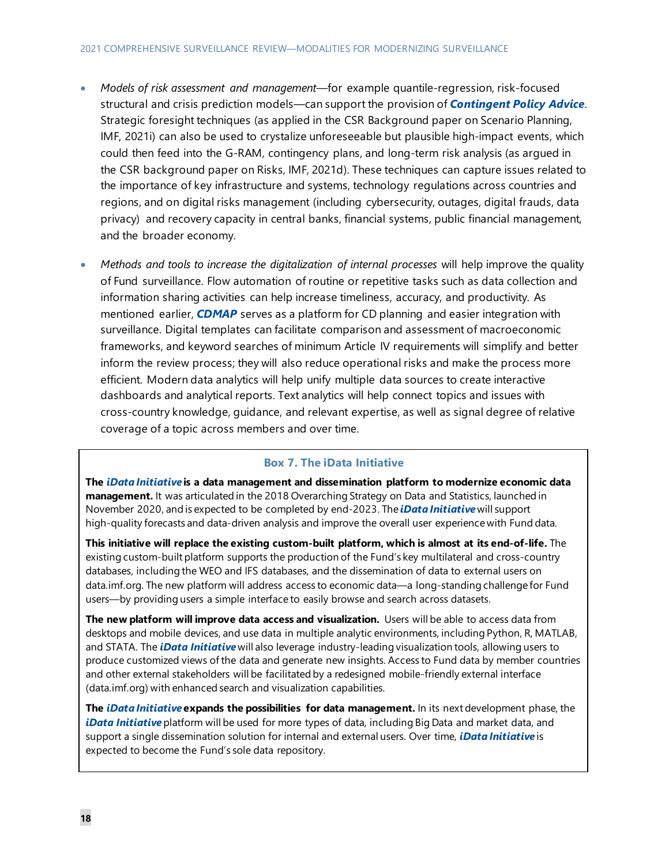#### 2021 COMPREHENSIVE SURVEILLANCE REVIEW—MODALITIES FOR MODERNIZING SURVEILLANCE

- *Models of risk assessment and management*—for example quantile-regression, risk-focused structural and crisis prediction models—can support the provision of *Contingent Policy Advice*. Strategic foresight techniques (as applied in the CSR Background paper on Scenario Planning, IMF, 2021i) can also be used to crystalize unforeseeable but plausible high-impact events, which could then feed into the G-RAM, contingency plans, and long-term risk analysis (as argued in the CSR background paper on Risks, IMF, 2021d). These techniques can capture issues related to the importance of key infrastructure and systems, technology regulations across countries and regions, and on digital risks management (including cybersecurity, outages, digital frauds, data privacy) and recovery capacity in central banks, financial systems, public financial management, and the broader economy.
- *Methods and tools to increase the digitalization of internal processes* will help improve the quality of Fund surveillance. Flow automation of routine or repetitive tasks such as data collection and information sharing activities can help increase timeliness, accuracy, and productivity. As mentioned earlier, *CDMAP* serves as a platform for CD planning and easier integration with surveillance. Digital templates can facilitate comparison and assessment of macroeconomic frameworks, and keyword searches of minimum Article IV requirements will simplify and better inform the review process; they will also reduce operational risks and make the process more efficient. Modern data analytics will help unify multiple data sources to create interactive dashboards and analytical reports. Text analytics will help connect topics and issues with cross-country knowledge, guidance, and relevant expertise, as well as signal degree of relative coverage of a topic across members and over time.

#### **Box 7. The iData Initiative**

**The** *iData Initiative* **is a data management and dissemination platform to modernize economic data management.** It was articulated in the 2018 Overarching Strategy on Data and Statistics, launched in November 2020, and is expected to be completed by end-2023. The *iData Initiative* will support high-quality forecasts and data-driven analysis and improve the overall user experience with Fund data.

**This initiative will replace the existing custom-built platform, which is almost at its end-of-life.** The existing custom-built platform supports the production of the Fund's key multilateral and cross-country databases, including the WEO and IFS databases, and the dissemination of data to external users on data.imf.org. The new platform will address access to economic data—a long-standing challenge for Fund users—by providing users a simple interface to easily browse and search across datasets.

**The new platform will improve data access and visualization.** Users will be able to access data from desktops and mobile devices, and use data in multiple analytic environments, including Python, R, MATLAB, and STATA. The *iData Initiative* will also leverage industry-leading visualization tools, allowing users to produce customized views of the data and generate new insights. Access to Fund data by member countries and other external stakeholders will be facilitated by a redesigned mobile-friendly external interface (data.imf.org) with enhanced search and visualization capabilities.

**The** *iData Initiative* **expands the possibilities for data management.** In its next development phase, the *iData Initiative* platform will be used for more types of data, including Big Data and market data, and support a single dissemination solution for internal and external users. Over time, *iData Initiative* is expected to become the Fund's sole data repository.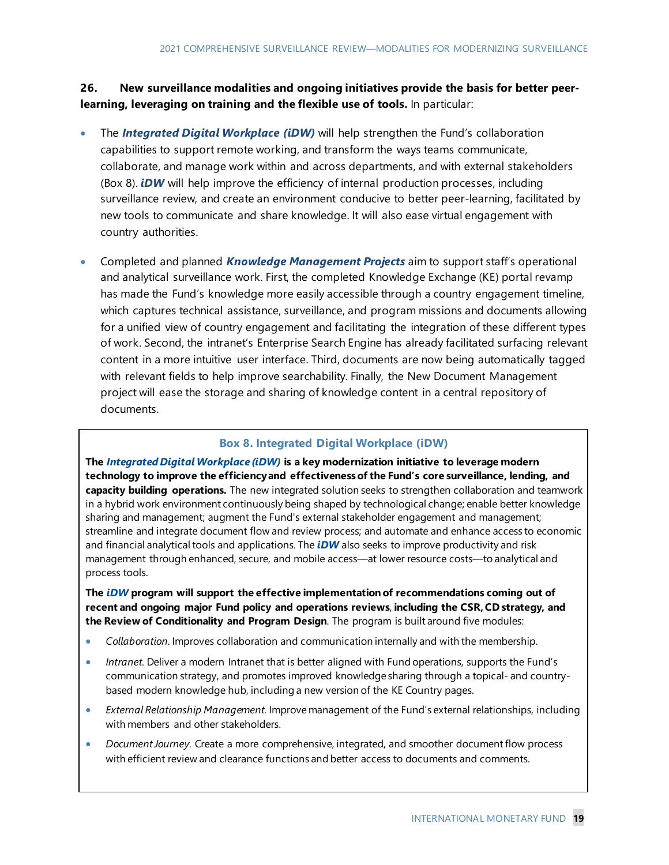**26. New surveillance modalities and ongoing initiatives provide the basis for better peerlearning, leveraging on training and the flexible use of tools.** In particular:

- The *Integrated Digital Workplace (iDW)* will help strengthen the Fund's collaboration capabilities to support remote working, and transform the ways teams communicate, collaborate, and manage work within and across departments, and with external stakeholders (Box 8). *iDW* will help improve the efficiency of internal production processes, including surveillance review, and create an environment conducive to better peer-learning, facilitated by new tools to communicate and share knowledge. It will also ease virtual engagement with country authorities.
- Completed and planned *Knowledge Management Projects* aim to support staff's operational and analytical surveillance work. First, the completed Knowledge Exchange (KE) portal revamp has made the Fund's knowledge more easily accessible through a country engagement timeline, which captures technical assistance, surveillance, and program missions and documents allowing for a unified view of country engagement and facilitating the integration of these different types of work. Second, the intranet's Enterprise Search Engine has already facilitated surfacing relevant content in a more intuitive user interface. Third, documents are now being automatically tagged with relevant fields to help improve searchability. Finally, the New Document Management project will ease the storage and sharing of knowledge content in a central repository of documents.

#### **Box 8. Integrated Digital Workplace (iDW)**

**The** *Integrated Digital Workplace (iDW)* **is a key modernization initiative to leverage modern technology to improve the efficiency and effectiveness of the Fund's core surveillance, lending, and capacity building operations.** The new integrated solution seeks to strengthen collaboration and teamwork in a hybrid work environment continuously being shaped by technological change; enable better knowledge sharing and management; augment the Fund's external stakeholder engagement and management; streamline and integrate document flow and review process; and automate and enhance access to economic and financial analytical tools and applications. The *iDW* also seeks to improve productivity and risk management through enhanced, secure, and mobile access—at lower resource costs—to analytical and process tools.

**The** *iDW* **program will support the effective implementation of recommendations coming out of recent and ongoing major Fund policy and operations reviews**, **including the CSR, CD strategy, and the Review of Conditionality and Program Design**. The program is built around five modules:

- *Collaboration*. Improves collaboration and communication internally and with the membership.
- *Intranet.* Deliver a modern Intranet that is better aligned with Fund operations, supports the Fund's communication strategy, and promotes improved knowledge sharing through a topical- and countrybased modern knowledge hub, including a new version of the KE Country pages.
- *External Relationship Management.* Improve management of the Fund's external relationships, including with members and other stakeholders.
- *Document Journey.* Create a more comprehensive, integrated, and smoother document flow process with efficient review and clearance functions and better access to documents and comments.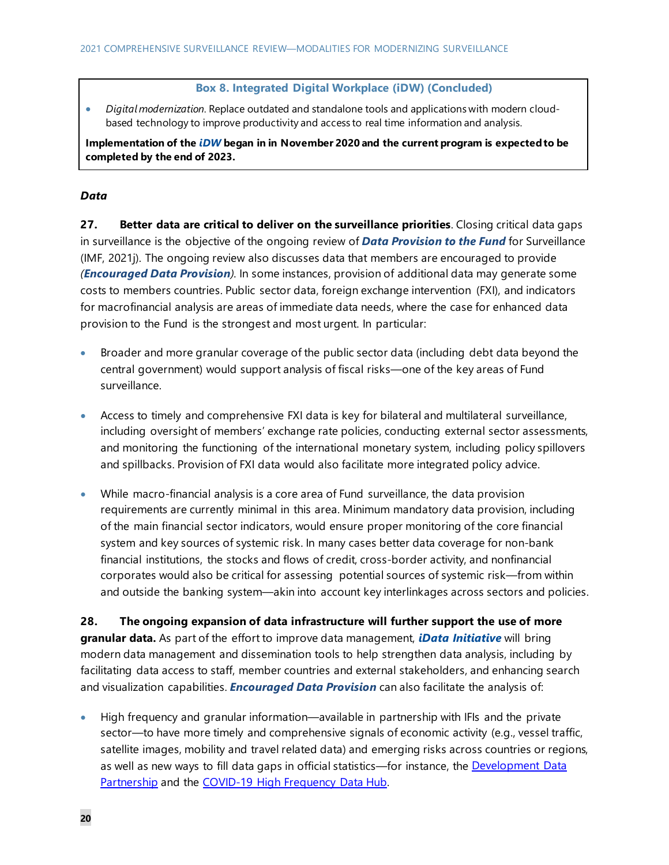#### **Box 8. Integrated Digital Workplace (iDW) (Concluded)**

• *Digital modernization.* Replace outdated and standalone tools and applications with modern cloudbased technology to improve productivity and access to real time information and analysis.

**Implementation of the** *iDW* **began in in November 2020 and the current program is expected to be completed by the end of 2023.**

#### *Data*

**27. Better data are critical to deliver on the surveillance priorities**. Closing critical data gaps in surveillance is the objective of the ongoing review of *Data Provision to the Fund* for Surveillance (IMF, 2021j). The ongoing review also discusses data that members are encouraged to provide *(Encouraged Data Provision).* In some instances, provision of additional data may generate some costs to members countries. Public sector data, foreign exchange intervention (FXI), and indicators for macrofinancial analysis are areas of immediate data needs, where the case for enhanced data provision to the Fund is the strongest and most urgent. In particular:

- Broader and more granular coverage of the public sector data (including debt data beyond the central government) would support analysis of fiscal risks—one of the key areas of Fund surveillance.
- Access to timely and comprehensive FXI data is key for bilateral and multilateral surveillance, including oversight of members' exchange rate policies, conducting external sector assessments, and monitoring the functioning of the international monetary system, including policy spillovers and spillbacks. Provision of FXI data would also facilitate more integrated policy advice.
- While macro-financial analysis is a core area of Fund surveillance, the data provision requirements are currently minimal in this area. Minimum mandatory data provision, including of the main financial sector indicators, would ensure proper monitoring of the core financial system and key sources of systemic risk. In many cases better data coverage for non-bank financial institutions, the stocks and flows of credit, cross-border activity, and nonfinancial corporates would also be critical for assessing potential sources of systemic risk—from within and outside the banking system—akin into account key interlinkages across sectors and policies.

**28. The ongoing expansion of data infrastructure will further support the use of more granular data.** As part of the effort to improve data management, *iData Initiative* will bring modern data management and dissemination tools to help strengthen data analysis, including by facilitating data access to staff, member countries and external stakeholders, and enhancing search and visualization capabilities. *Encouraged Data Provision* can also facilitate the analysis of:

• High frequency and granular information—available in partnership with IFIs and the private sector—to have more timely and comprehensive signals of economic activity (e.g., vessel traffic, satellite images, mobility and travel related data) and emerging risks across countries or regions, as well as new ways to fill data gaps in official statistics—for instance, the Development Data [Partnership](https://datapartnership.org/) and the [COVID-19 High Frequency Data Hub.](http://www-intranet.imf.org/departments/STA/collaboration/STA_HFDH/SitePages/COVID19-DataHub.aspx)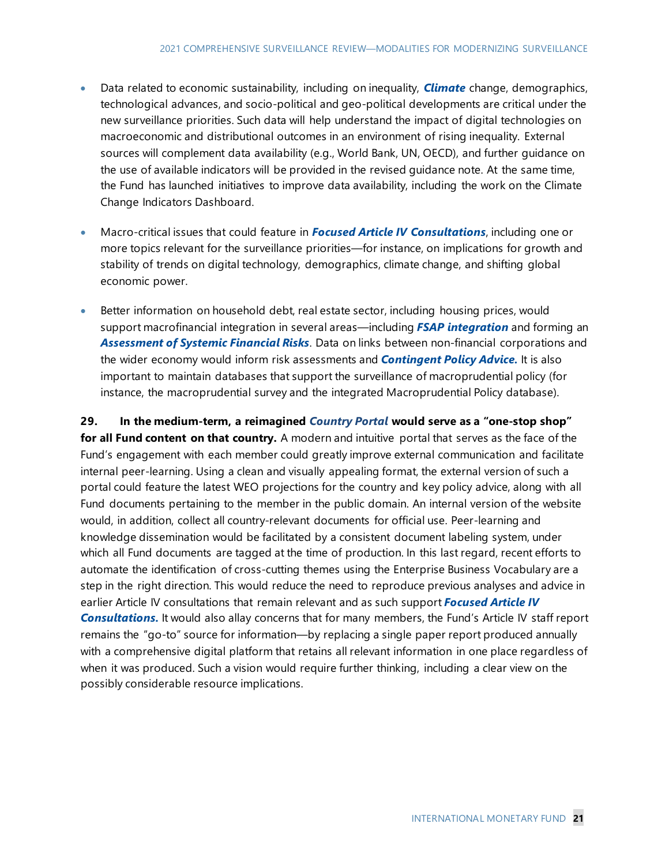- Data related to economic sustainability, including on inequality, *Climate* change, demographics, technological advances, and socio-political and geo-political developments are critical under the new surveillance priorities. Such data will help understand the impact of digital technologies on macroeconomic and distributional outcomes in an environment of rising inequality. External sources will complement data availability (e.g., World Bank, UN, OECD), and further guidance on the use of available indicators will be provided in the revised guidance note. At the same time, the Fund has launched initiatives to improve data availability, including the work on the Climate Change Indicators Dashboard.
- Macro-critical issues that could feature in *Focused Article IV Consultations*, including one or more topics relevant for the surveillance priorities—for instance, on implications for growth and stability of trends on digital technology, demographics, climate change, and shifting global economic power.
- Better information on household debt, real estate sector, including housing prices, would support macrofinancial integration in several areas—including *FSAP integration* and forming an *Assessment of Systemic Financial Risks*. Data on links between non-financial corporations and the wider economy would inform risk assessments and *Contingent Policy Advice.* It is also important to maintain databases that support the surveillance of macroprudential policy (for instance, the macroprudential survey and the integrated Macroprudential Policy database).

**29. In the medium-term, a reimagined** *Country Portal* **would serve as a "one-stop shop" for all Fund content on that country.** A modern and intuitive portal that serves as the face of the Fund's engagement with each member could greatly improve external communication and facilitate internal peer-learning. Using a clean and visually appealing format, the external version of such a portal could feature the latest WEO projections for the country and key policy advice, along with all Fund documents pertaining to the member in the public domain. An internal version of the website would, in addition, collect all country-relevant documents for official use. Peer-learning and knowledge dissemination would be facilitated by a consistent document labeling system, under which all Fund documents are tagged at the time of production. In this last regard, recent efforts to automate the identification of cross-cutting themes using the Enterprise Business Vocabulary are a step in the right direction. This would reduce the need to reproduce previous analyses and advice in earlier Article IV consultations that remain relevant and as such support *Focused Article IV Consultations.* It would also allay concerns that for many members, the Fund's Article IV staff report remains the "go-to" source for information—by replacing a single paper report produced annually with a comprehensive digital platform that retains all relevant information in one place regardless of when it was produced. Such a vision would require further thinking, including a clear view on the possibly considerable resource implications.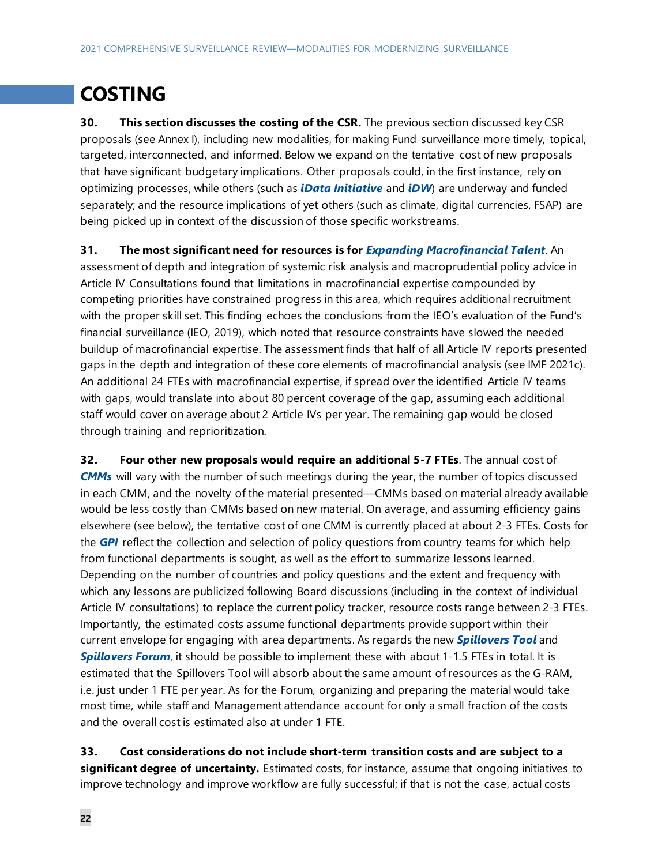## **COSTING**

**30. This section discusses the costing of the CSR.** The previous section discussed key CSR proposals (see Annex I), including new modalities, for making Fund surveillance more timely, topical, targeted, interconnected, and informed. Below we expand on the tentative cost of new proposals that have significant budgetary implications. Other proposals could, in the first instance, rely on optimizing processes, while others (such as *iData Initiative* and *iDW*) are underway and funded separately; and the resource implications of yet others (such as climate, digital currencies, FSAP) are being picked up in context of the discussion of those specific workstreams.

**31. The most significant need for resources is for** *Expanding Macrofinancial Talent*. An

assessment of depth and integration of systemic risk analysis and macroprudential policy advice in Article IV Consultations found that limitations in macrofinancial expertise compounded by competing priorities have constrained progress in this area, which requires additional recruitment with the proper skill set. This finding echoes the conclusions from the IEO's evaluation of the Fund's financial surveillance (IEO, 2019), which noted that resource constraints have slowed the needed buildup of macrofinancial expertise. The assessment finds that half of all Article IV reports presented gaps in the depth and integration of these core elements of macrofinancial analysis (see IMF 2021c). An additional 24 FTEs with macrofinancial expertise, if spread over the identified Article IV teams with gaps, would translate into about 80 percent coverage of the gap, assuming each additional staff would cover on average about 2 Article IVs per year. The remaining gap would be closed through training and reprioritization.

**32. Four other new proposals would require an additional 5-7 FTEs**. The annual cost of *CMMs* will vary with the number of such meetings during the year, the number of topics discussed in each CMM, and the novelty of the material presented—CMMs based on material already available would be less costly than CMMs based on new material. On average, and assuming efficiency gains elsewhere (see below), the tentative cost of one CMM is currently placed at about 2-3 FTEs. Costs for the *GPI* reflect the collection and selection of policy questions from country teams for which help from functional departments is sought, as well as the effort to summarize lessons learned. Depending on the number of countries and policy questions and the extent and frequency with which any lessons are publicized following Board discussions (including in the context of individual Article IV consultations) to replace the current policy tracker, resource costs range between 2-3 FTEs. Importantly, the estimated costs assume functional departments provide support within their current envelope for engaging with area departments. As regards the new *Spillovers Tool* and *Spillovers Forum*, it should be possible to implement these with about 1-1.5 FTEs in total. It is estimated that the Spillovers Tool will absorb about the same amount of resources as the G-RAM, i.e. just under 1 FTE per year. As for the Forum, organizing and preparing the material would take most time, while staff and Management attendance account for only a small fraction of the costs and the overall cost is estimated also at under 1 FTE.

**33. Cost considerations do not include short-term transition costs and are subject to a significant degree of uncertainty.** Estimated costs, for instance, assume that ongoing initiatives to improve technology and improve workflow are fully successful; if that is not the case, actual costs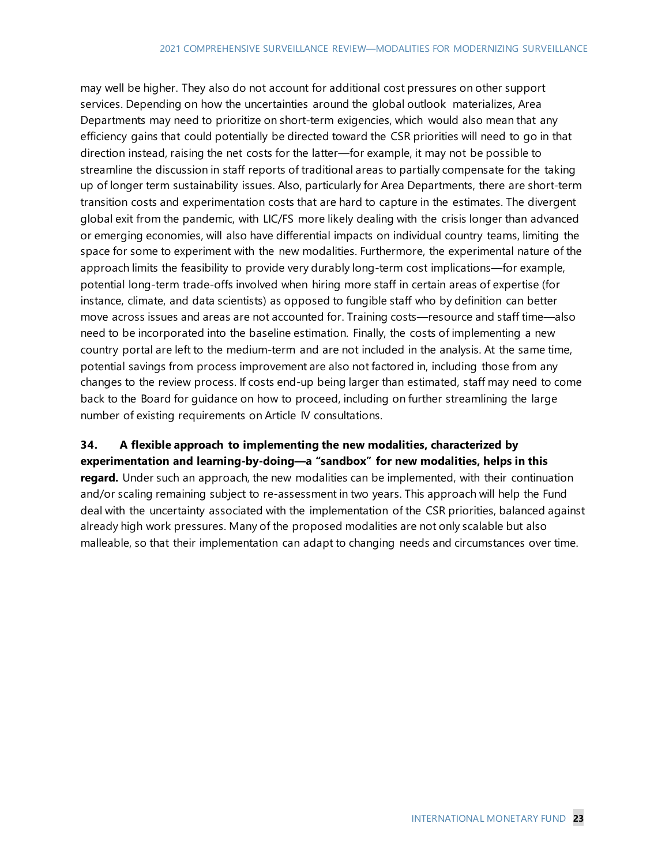may well be higher. They also do not account for additional cost pressures on other support services. Depending on how the uncertainties around the global outlook materializes, Area Departments may need to prioritize on short-term exigencies, which would also mean that any efficiency gains that could potentially be directed toward the CSR priorities will need to go in that direction instead, raising the net costs for the latter—for example, it may not be possible to streamline the discussion in staff reports of traditional areas to partially compensate for the taking up of longer term sustainability issues. Also, particularly for Area Departments, there are short-term transition costs and experimentation costs that are hard to capture in the estimates. The divergent global exit from the pandemic, with LIC/FS more likely dealing with the crisis longer than advanced or emerging economies, will also have differential impacts on individual country teams, limiting the space for some to experiment with the new modalities. Furthermore, the experimental nature of the approach limits the feasibility to provide very durably long-term cost implications—for example, potential long-term trade-offs involved when hiring more staff in certain areas of expertise (for instance, climate, and data scientists) as opposed to fungible staff who by definition can better move across issues and areas are not accounted for. Training costs—resource and staff time—also need to be incorporated into the baseline estimation. Finally, the costs of implementing a new country portal are left to the medium-term and are not included in the analysis. At the same time, potential savings from process improvement are also not factored in, including those from any changes to the review process. If costs end-up being larger than estimated, staff may need to come back to the Board for guidance on how to proceed, including on further streamlining the large number of existing requirements on Article IV consultations.

## **34. A flexible approach to implementing the new modalities, characterized by**

**experimentation and learning-by-doing—a "sandbox" for new modalities, helps in this regard.** Under such an approach, the new modalities can be implemented, with their continuation and/or scaling remaining subject to re-assessment in two years. This approach will help the Fund deal with the uncertainty associated with the implementation of the CSR priorities, balanced against already high work pressures. Many of the proposed modalities are not only scalable but also malleable, so that their implementation can adapt to changing needs and circumstances over time.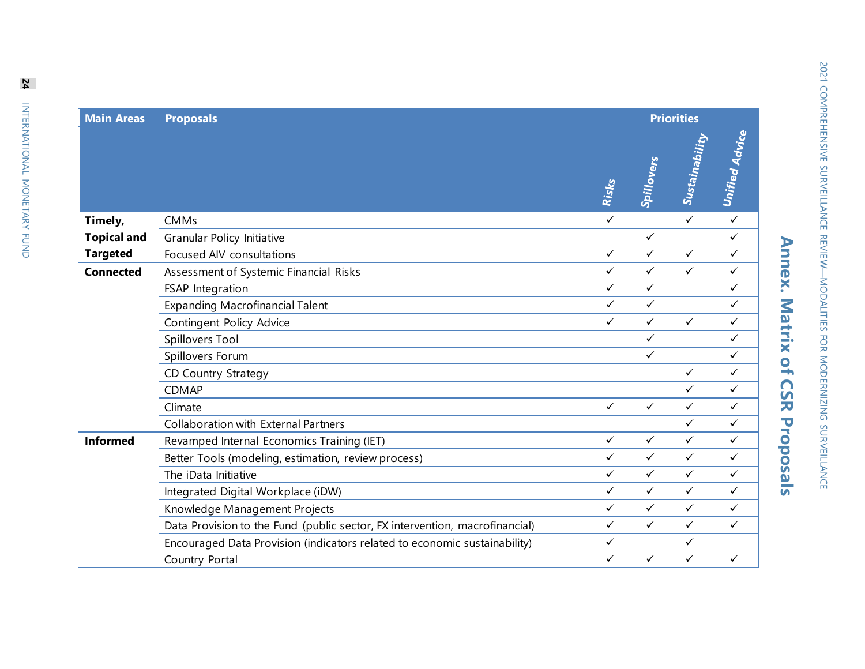| <b>Main Areas</b>  | <b>Proposals</b>                                                            |              |              | <b>Priorities</b> |                       |  |  |
|--------------------|-----------------------------------------------------------------------------|--------------|--------------|-------------------|-----------------------|--|--|
|                    |                                                                             | Risks        | Spillovers   | Sustainability    | <b>Unified Advice</b> |  |  |
| Timely,            | <b>CMMs</b>                                                                 | $\checkmark$ |              | $\checkmark$      | $\checkmark$          |  |  |
| <b>Topical and</b> | <b>Granular Policy Initiative</b>                                           |              | $\checkmark$ |                   | ✓                     |  |  |
| <b>Targeted</b>    | Focused AIV consultations                                                   | $\checkmark$ | $\checkmark$ | $\checkmark$      | $\checkmark$          |  |  |
| <b>Connected</b>   | Assessment of Systemic Financial Risks                                      | $\checkmark$ | $\checkmark$ | $\checkmark$      | $\checkmark$          |  |  |
|                    | FSAP Integration                                                            | $\checkmark$ | $\checkmark$ |                   | ✓                     |  |  |
|                    | <b>Expanding Macrofinancial Talent</b>                                      | $\checkmark$ | $\checkmark$ |                   | ✓                     |  |  |
|                    | Contingent Policy Advice                                                    | $\checkmark$ | $\checkmark$ | $\checkmark$      | $\checkmark$          |  |  |
|                    | Spillovers Tool                                                             |              | $\checkmark$ |                   | $\checkmark$          |  |  |
|                    | Spillovers Forum                                                            |              | $\checkmark$ |                   | $\checkmark$          |  |  |
|                    | <b>CD Country Strategy</b>                                                  |              |              | $\checkmark$      | $\checkmark$          |  |  |
|                    | <b>CDMAP</b>                                                                |              |              | $\checkmark$      | ✓                     |  |  |
|                    | Climate                                                                     | $\checkmark$ | $\checkmark$ | $\checkmark$      | ✓                     |  |  |
|                    | <b>Collaboration with External Partners</b>                                 |              |              | $\checkmark$      | $\checkmark$          |  |  |
| <b>Informed</b>    | Revamped Internal Economics Training (IET)                                  | $\checkmark$ | $\checkmark$ | $\checkmark$      | $\checkmark$          |  |  |
|                    | Better Tools (modeling, estimation, review process)                         | $\checkmark$ | $\checkmark$ | $\checkmark$      | ✓                     |  |  |
|                    | The iData Initiative                                                        | $\checkmark$ | $\checkmark$ | $\checkmark$      | $\checkmark$          |  |  |
|                    | Integrated Digital Workplace (iDW)                                          | $\checkmark$ | $\checkmark$ | $\checkmark$      | $\checkmark$          |  |  |
|                    | Knowledge Management Projects                                               | $\checkmark$ | $\checkmark$ | $\checkmark$      | $\checkmark$          |  |  |
|                    | Data Provision to the Fund (public sector, FX intervention, macrofinancial) | $\checkmark$ | $\checkmark$ | $\checkmark$      | $\checkmark$          |  |  |
|                    | Encouraged Data Provision (indicators related to economic sustainability)   | ✓            |              | $\checkmark$      |                       |  |  |
|                    | Country Portal                                                              | $\checkmark$ | $\checkmark$ | $\checkmark$      | $\checkmark$          |  |  |

2021 COMPREHENSIVE SURVEILLANCE REVIEW—MODALITIES FOR MODERNIZING SURVEILLANCE

2021 COMPREHENSIVE SURVEILLANCE REVITIES FOR MODERNIZING SURVEILLANCE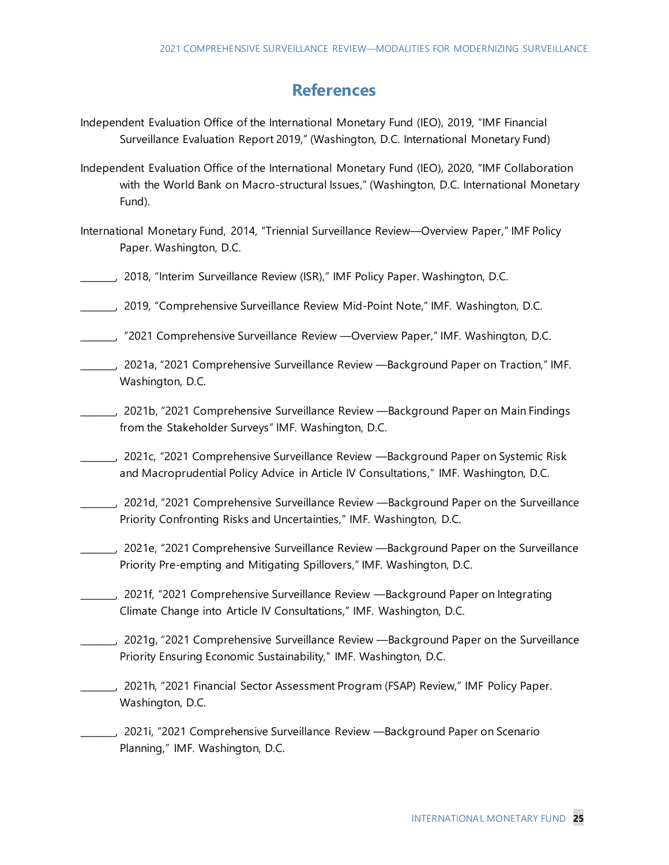## **References**

- Independent Evaluation Office of the International Monetary Fund (IEO), 2019, "IMF Financial Surveillance Evaluation Report 2019," (Washington, D.C. International Monetary Fund)
- Independent Evaluation Office of the International Monetary Fund (IEO), 2020, "IMF Collaboration with the World Bank on Macro-structural Issues," (Washington, D.C. International Monetary Fund).
- International Monetary Fund, 2014, "Triennial Surveillance Review—Overview Paper," IMF Policy Paper. Washington, D.C.
- \_\_\_\_\_\_\_\_, 2018, "Interim Surveillance Review (ISR)," IMF Policy Paper. Washington, D.C.
- \_\_\_\_\_\_\_\_, 2019, "Comprehensive Surveillance Review Mid-Point Note," IMF. Washington, D.C.
- \_\_\_\_\_\_\_\_, "2021 Comprehensive Surveillance Review —Overview Paper," IMF. Washington, D.C.
- \_\_\_\_\_\_\_\_, 2021a, "2021 Comprehensive Surveillance Review —Background Paper on Traction," IMF. Washington, D.C.
- \_\_\_\_\_\_\_\_, 2021b, "2021 Comprehensive Surveillance Review —Background Paper on Main Findings from the Stakeholder Surveys" IMF. Washington, D.C.
- \_\_\_\_\_\_\_\_, 2021c, "2021 Comprehensive Surveillance Review —Background Paper on Systemic Risk and Macroprudential Policy Advice in Article IV Consultations," IMF. Washington, D.C.
- \_\_\_\_\_\_\_\_, 2021d, "2021 Comprehensive Surveillance Review —Background Paper on the Surveillance Priority Confronting Risks and Uncertainties," IMF. Washington, D.C.
- \_\_\_\_\_\_\_\_, 2021e, "2021 Comprehensive Surveillance Review —Background Paper on the Surveillance Priority Pre-empting and Mitigating Spillovers," IMF. Washington, D.C.
- \_\_\_\_\_\_\_\_, 2021f, "2021 Comprehensive Surveillance Review —Background Paper on Integrating Climate Change into Article IV Consultations," IMF. Washington, D.C.
- \_\_\_\_\_\_\_\_, 2021g, "2021 Comprehensive Surveillance Review —Background Paper on the Surveillance Priority Ensuring Economic Sustainability," IMF. Washington, D.C.
- \_\_\_\_\_\_\_\_, 2021h, "2021 Financial Sector Assessment Program (FSAP) Review," IMF Policy Paper. Washington, D.C.
- \_\_\_\_\_\_\_\_, 2021i, "2021 Comprehensive Surveillance Review —Background Paper on Scenario Planning," IMF. Washington, D.C.